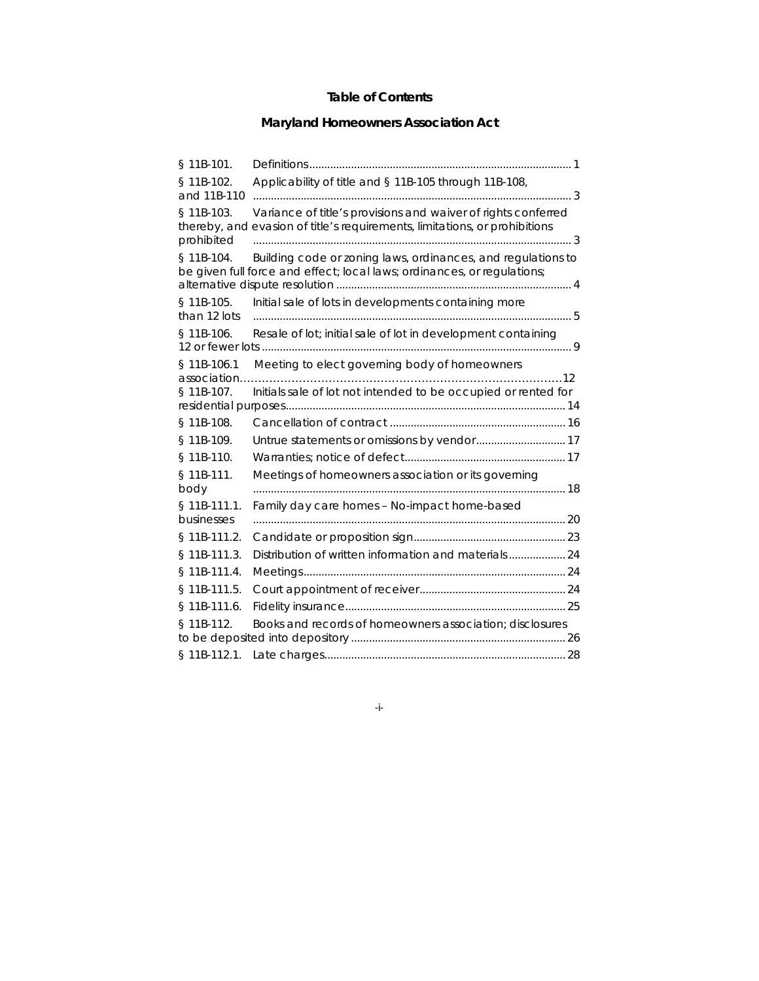## **Table of Contents**

# **Maryland Homeowners Association Act**

| § 11B-101.                     |                                                                                                                                             |     |
|--------------------------------|---------------------------------------------------------------------------------------------------------------------------------------------|-----|
| § 11B-102.<br>and 11B-110      | Applicability of title and § 11B-105 through 11B-108,                                                                                       |     |
| § 11B-103.<br>prohibited       | Variance of title's provisions and waiver of rights conferred<br>thereby, and evasion of title's requirements, limitations, or prohibitions | . 3 |
| § 11B-104.                     | Building code or zoning laws, ordinances, and regulations to<br>be given full force and effect; local laws; ordinances, or regulations;     |     |
| § 11B-105.<br>than 12 lots     | Initial sale of lots in developments containing more                                                                                        |     |
| § 11B-106.<br>12 or fewer lots | Resale of lot; initial sale of lot in development containing                                                                                |     |
| § 11B-106.1<br>association.    | Meeting to elect governing body of homeowners<br>. 12                                                                                       |     |
| § 11B-107.                     | Initials sale of lot not intended to be occupied or rented for                                                                              |     |
| § 11B-108.                     |                                                                                                                                             |     |
| § 11B-109.                     |                                                                                                                                             |     |
| § 11B-110.                     |                                                                                                                                             |     |
| § 11B-111.<br>body             | Meetings of homeowners association or its governing                                                                                         |     |
| $§ 11B-111.1.$<br>businesses   | Family day care homes - No-impact home-based                                                                                                |     |
| § 11B-111.2.                   |                                                                                                                                             |     |
| § 11B-111.3.                   |                                                                                                                                             |     |
| § 11B-111.4.                   |                                                                                                                                             |     |
| § 11B-111.5.                   |                                                                                                                                             |     |
| § 11B-111.6.                   |                                                                                                                                             |     |
| § 11B-112.                     | Books and records of homeowners association; disclosures                                                                                    |     |
| § 11B-112.1.                   |                                                                                                                                             |     |

-i-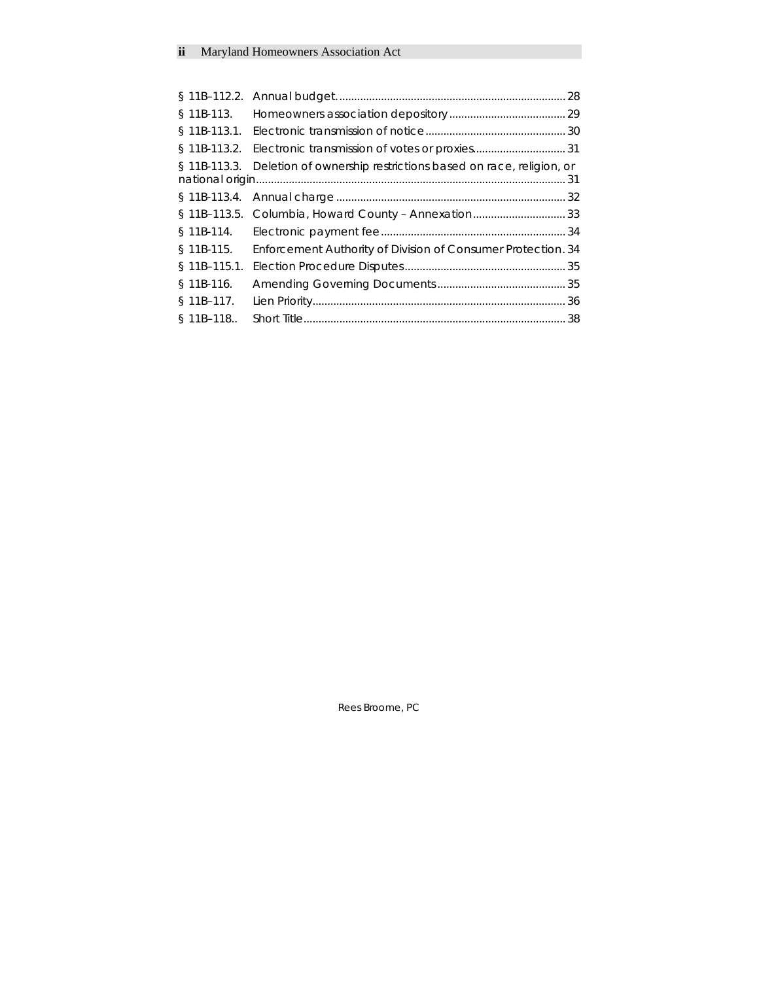|               | § 11B-113.3. Deletion of ownership restrictions based on race, religion, or |  |
|---------------|-----------------------------------------------------------------------------|--|
|               |                                                                             |  |
|               |                                                                             |  |
|               | § 11B-113.5. Columbia, Howard County - Annexation 33                        |  |
|               |                                                                             |  |
| § 11B-115.    | Enforcement Authority of Division of Consumer Protection. 34                |  |
| $$11B-115.1.$ |                                                                             |  |
| § 11B-116.    |                                                                             |  |
| § 11B-117.    |                                                                             |  |
| $$11B-118.$   |                                                                             |  |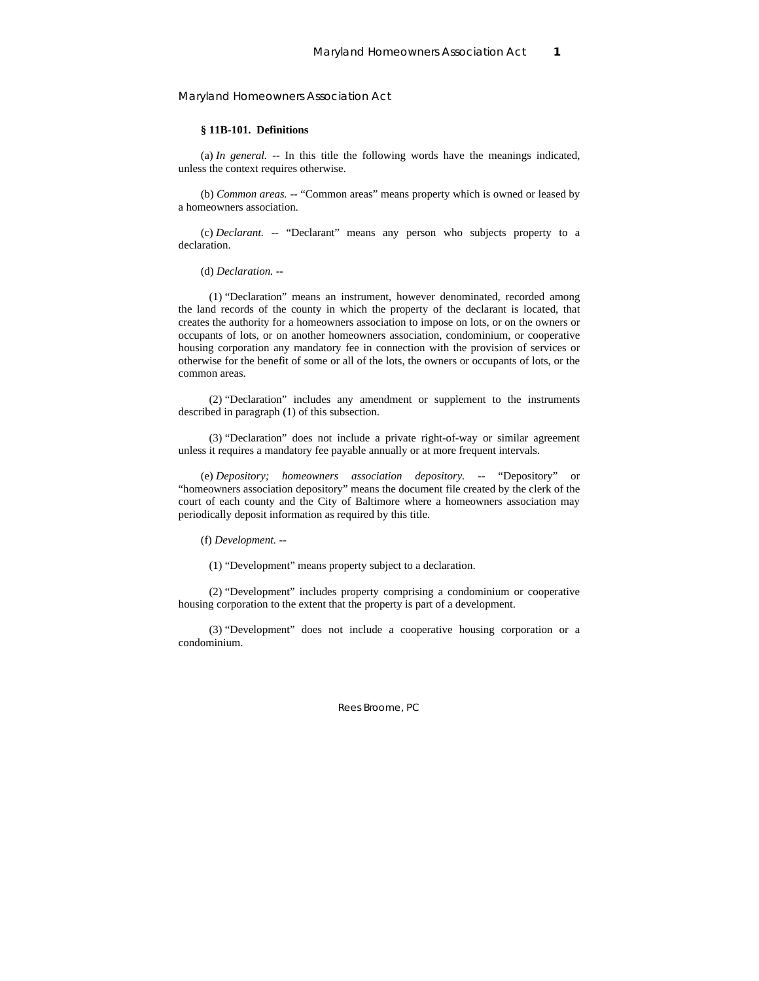### **§ 11B-101. Definitions**

(a) *In general.* -- In this title the following words have the meanings indicated, unless the context requires otherwise.

(b) *Common areas.* -- "Common areas" means property which is owned or leased by a homeowners association.

(c) *Declarant.* -- "Declarant" means any person who subjects property to a declaration.

### (d) *Declaration.* --

 (1) "Declaration" means an instrument, however denominated, recorded among the land records of the county in which the property of the declarant is located, that creates the authority for a homeowners association to impose on lots, or on the owners or occupants of lots, or on another homeowners association, condominium, or cooperative housing corporation any mandatory fee in connection with the provision of services or otherwise for the benefit of some or all of the lots, the owners or occupants of lots, or the common areas.

 (2) "Declaration" includes any amendment or supplement to the instruments described in paragraph (1) of this subsection.

 (3) "Declaration" does not include a private right-of-way or similar agreement unless it requires a mandatory fee payable annually or at more frequent intervals.

(e) *Depository; homeowners association depository.* -- "Depository" or "homeowners association depository" means the document file created by the clerk of the court of each county and the City of Baltimore where a homeowners association may periodically deposit information as required by this title.

(f) *Development.* --

(1) "Development" means property subject to a declaration.

 (2) "Development" includes property comprising a condominium or cooperative housing corporation to the extent that the property is part of a development.

 (3) "Development" does not include a cooperative housing corporation or a condominium.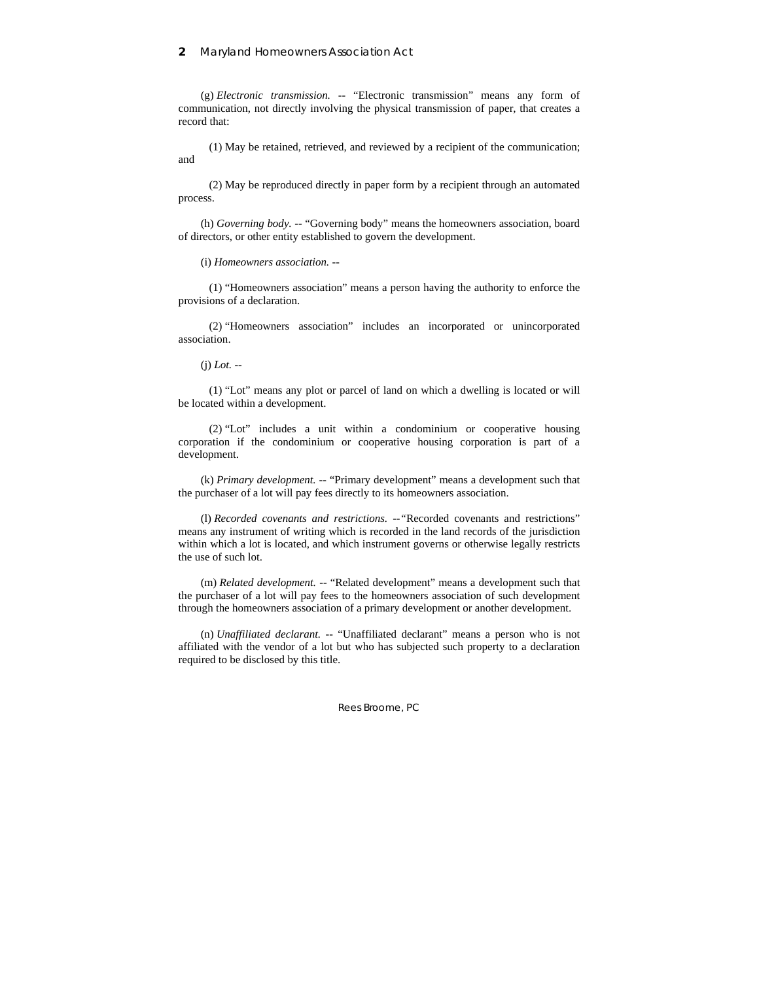(g) *Electronic transmission.* -- "Electronic transmission" means any form of communication, not directly involving the physical transmission of paper, that creates a record that:

 (1) May be retained, retrieved, and reviewed by a recipient of the communication; and

 (2) May be reproduced directly in paper form by a recipient through an automated process.

(h) *Governing body.* -- "Governing body" means the homeowners association, board of directors, or other entity established to govern the development.

(i) *Homeowners association.* --

 (1) "Homeowners association" means a person having the authority to enforce the provisions of a declaration.

 (2) "Homeowners association" includes an incorporated or unincorporated association.

(j) *Lot.* --

 (1) "Lot" means any plot or parcel of land on which a dwelling is located or will be located within a development.

 (2) "Lot" includes a unit within a condominium or cooperative housing corporation if the condominium or cooperative housing corporation is part of a development.

(k) *Primary development.* -- "Primary development" means a development such that the purchaser of a lot will pay fees directly to its homeowners association.

(l) *Recorded covenants and restrictions. --"*Recorded covenants and restrictions" means any instrument of writing which is recorded in the land records of the jurisdiction within which a lot is located, and which instrument governs or otherwise legally restricts the use of such lot.

(m) *Related development.* -- "Related development" means a development such that the purchaser of a lot will pay fees to the homeowners association of such development through the homeowners association of a primary development or another development.

(n) *Unaffiliated declarant.* -- "Unaffiliated declarant" means a person who is not affiliated with the vendor of a lot but who has subjected such property to a declaration required to be disclosed by this title.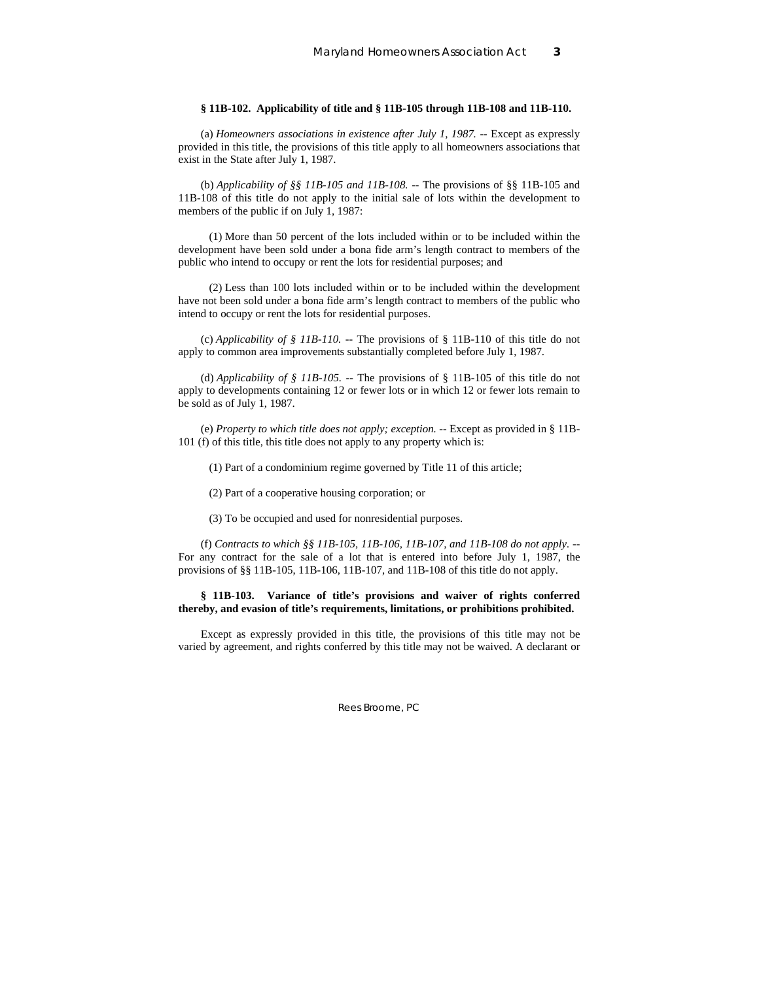### **§ 11B-102. Applicability of title and § 11B-105 through 11B-108 and 11B-110.**

(a) *Homeowners associations in existence after July 1, 1987.* -- Except as expressly provided in this title, the provisions of this title apply to all homeowners associations that exist in the State after July 1, 1987.

(b) *Applicability of §§ 11B-105 and 11B-108.* -- The provisions of §§ 11B-105 and 11B-108 of this title do not apply to the initial sale of lots within the development to members of the public if on July 1, 1987:

 (1) More than 50 percent of the lots included within or to be included within the development have been sold under a bona fide arm's length contract to members of the public who intend to occupy or rent the lots for residential purposes; and

 (2) Less than 100 lots included within or to be included within the development have not been sold under a bona fide arm's length contract to members of the public who intend to occupy or rent the lots for residential purposes.

(c) *Applicability of § 11B-110.* -- The provisions of § 11B-110 of this title do not apply to common area improvements substantially completed before July 1, 1987.

(d) *Applicability of § 11B-105.* -- The provisions of § 11B-105 of this title do not apply to developments containing 12 or fewer lots or in which 12 or fewer lots remain to be sold as of July 1, 1987.

(e) *Property to which title does not apply; exception.* -- Except as provided in § 11B-101 (f) of this title, this title does not apply to any property which is:

(1) Part of a condominium regime governed by Title 11 of this article;

(2) Part of a cooperative housing corporation; or

(3) To be occupied and used for nonresidential purposes.

(f) *Contracts to which §§ 11B-105, 11B-106, 11B-107, and 11B-108 do not apply.* -- For any contract for the sale of a lot that is entered into before July 1, 1987, the provisions of §§ 11B-105, 11B-106, 11B-107, and 11B-108 of this title do not apply.

### **§ 11B-103. Variance of title's provisions and waiver of rights conferred thereby, and evasion of title's requirements, limitations, or prohibitions prohibited.**

Except as expressly provided in this title, the provisions of this title may not be varied by agreement, and rights conferred by this title may not be waived. A declarant or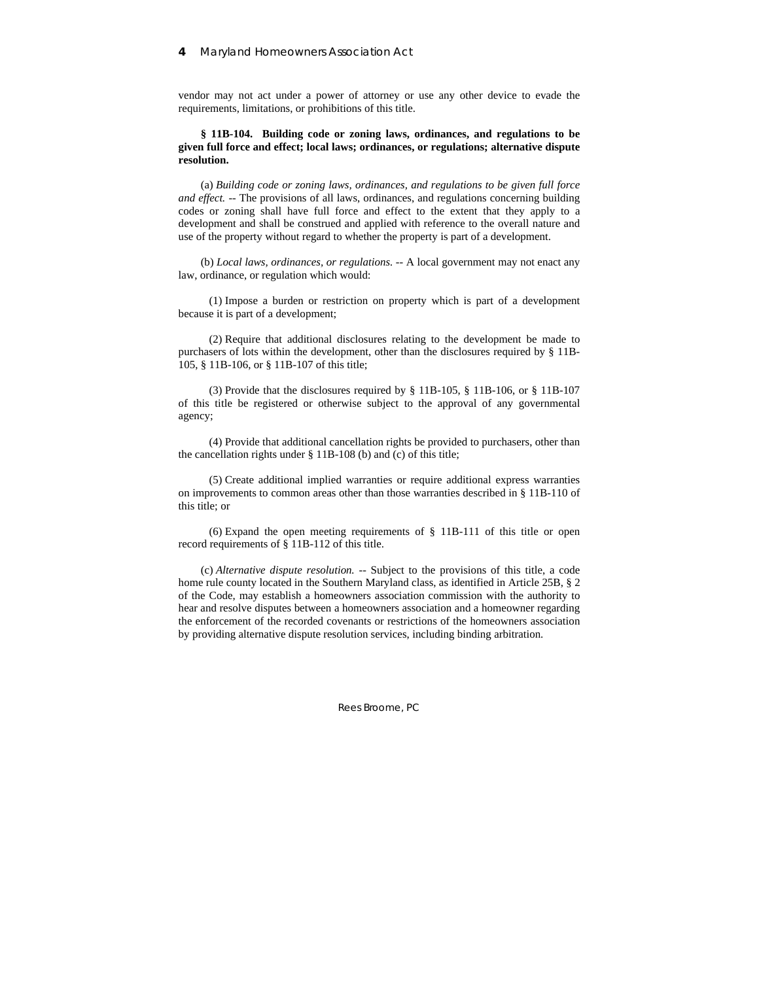vendor may not act under a power of attorney or use any other device to evade the requirements, limitations, or prohibitions of this title.

### **§ 11B-104. Building code or zoning laws, ordinances, and regulations to be given full force and effect; local laws; ordinances, or regulations; alternative dispute resolution.**

(a) *Building code or zoning laws, ordinances, and regulations to be given full force and effect.* -- The provisions of all laws, ordinances, and regulations concerning building codes or zoning shall have full force and effect to the extent that they apply to a development and shall be construed and applied with reference to the overall nature and use of the property without regard to whether the property is part of a development.

(b) *Local laws, ordinances, or regulations.* -- A local government may not enact any law, ordinance, or regulation which would:

 (1) Impose a burden or restriction on property which is part of a development because it is part of a development;

 (2) Require that additional disclosures relating to the development be made to purchasers of lots within the development, other than the disclosures required by § 11B-105, § 11B-106, or § 11B-107 of this title;

 (3) Provide that the disclosures required by § 11B-105, § 11B-106, or § 11B-107 of this title be registered or otherwise subject to the approval of any governmental agency;

 (4) Provide that additional cancellation rights be provided to purchasers, other than the cancellation rights under § 11B-108 (b) and (c) of this title;

 (5) Create additional implied warranties or require additional express warranties on improvements to common areas other than those warranties described in § 11B-110 of this title; or

 (6) Expand the open meeting requirements of § 11B-111 of this title or open record requirements of § 11B-112 of this title.

(c) *Alternative dispute resolution.* -- Subject to the provisions of this title, a code home rule county located in the Southern Maryland class, as identified in Article 25B, § 2 of the Code, may establish a homeowners association commission with the authority to hear and resolve disputes between a homeowners association and a homeowner regarding the enforcement of the recorded covenants or restrictions of the homeowners association by providing alternative dispute resolution services, including binding arbitration.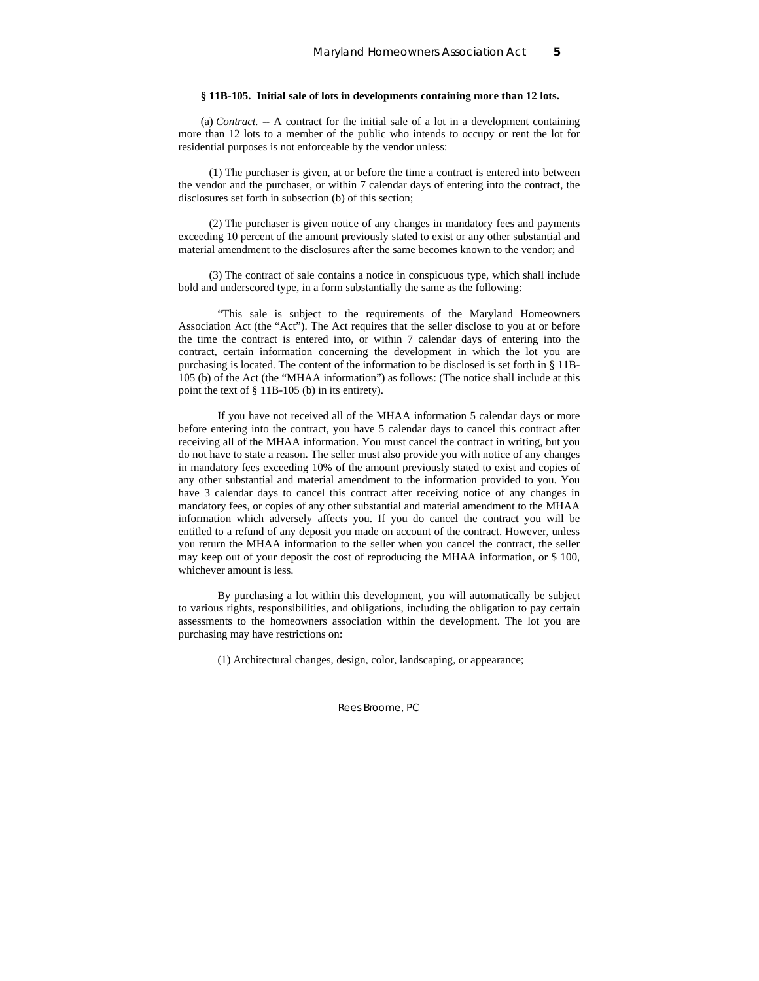### **§ 11B-105. Initial sale of lots in developments containing more than 12 lots.**

(a) *Contract.* -- A contract for the initial sale of a lot in a development containing more than 12 lots to a member of the public who intends to occupy or rent the lot for residential purposes is not enforceable by the vendor unless:

 (1) The purchaser is given, at or before the time a contract is entered into between the vendor and the purchaser, or within 7 calendar days of entering into the contract, the disclosures set forth in subsection (b) of this section;

 (2) The purchaser is given notice of any changes in mandatory fees and payments exceeding 10 percent of the amount previously stated to exist or any other substantial and material amendment to the disclosures after the same becomes known to the vendor; and

 (3) The contract of sale contains a notice in conspicuous type, which shall include bold and underscored type, in a form substantially the same as the following:

 "This sale is subject to the requirements of the Maryland Homeowners Association Act (the "Act"). The Act requires that the seller disclose to you at or before the time the contract is entered into, or within 7 calendar days of entering into the contract, certain information concerning the development in which the lot you are purchasing is located. The content of the information to be disclosed is set forth in § 11B-105 (b) of the Act (the "MHAA information") as follows: (The notice shall include at this point the text of § 11B-105 (b) in its entirety).

 If you have not received all of the MHAA information 5 calendar days or more before entering into the contract, you have 5 calendar days to cancel this contract after receiving all of the MHAA information. You must cancel the contract in writing, but you do not have to state a reason. The seller must also provide you with notice of any changes in mandatory fees exceeding 10% of the amount previously stated to exist and copies of any other substantial and material amendment to the information provided to you. You have 3 calendar days to cancel this contract after receiving notice of any changes in mandatory fees, or copies of any other substantial and material amendment to the MHAA information which adversely affects you. If you do cancel the contract you will be entitled to a refund of any deposit you made on account of the contract. However, unless you return the MHAA information to the seller when you cancel the contract, the seller may keep out of your deposit the cost of reproducing the MHAA information, or \$ 100, whichever amount is less.

 By purchasing a lot within this development, you will automatically be subject to various rights, responsibilities, and obligations, including the obligation to pay certain assessments to the homeowners association within the development. The lot you are purchasing may have restrictions on:

(1) Architectural changes, design, color, landscaping, or appearance;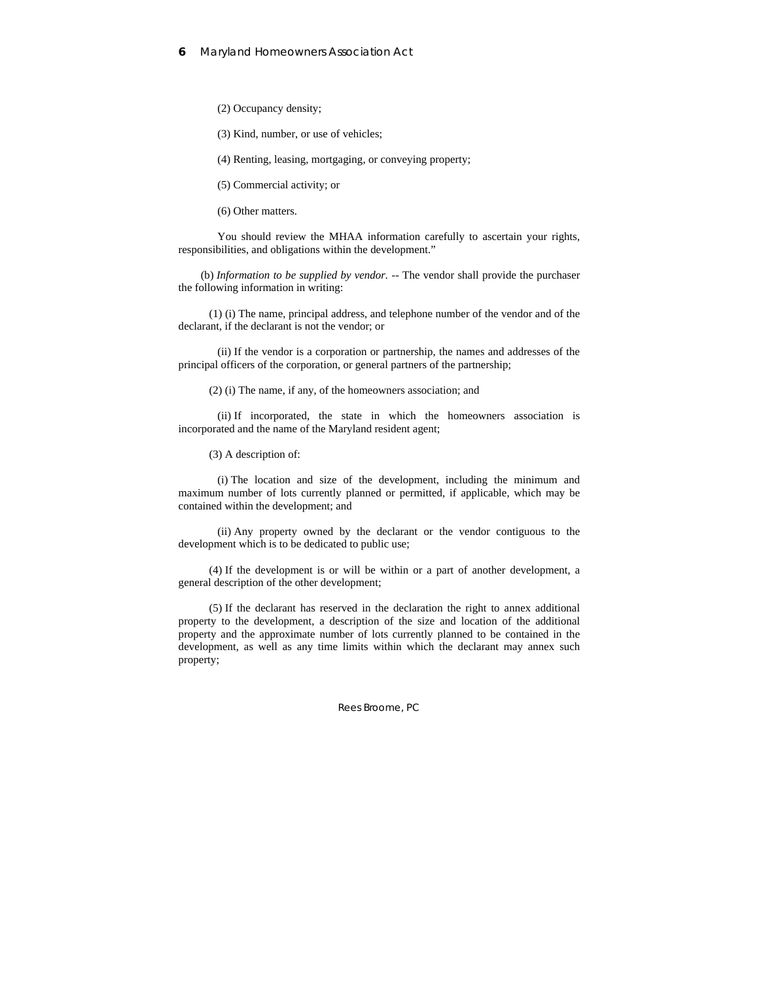(2) Occupancy density;

(3) Kind, number, or use of vehicles;

(4) Renting, leasing, mortgaging, or conveying property;

(5) Commercial activity; or

(6) Other matters.

 You should review the MHAA information carefully to ascertain your rights, responsibilities, and obligations within the development."

(b) *Information to be supplied by vendor.* -- The vendor shall provide the purchaser the following information in writing:

 (1) (i) The name, principal address, and telephone number of the vendor and of the declarant, if the declarant is not the vendor; or

 (ii) If the vendor is a corporation or partnership, the names and addresses of the principal officers of the corporation, or general partners of the partnership;

(2) (i) The name, if any, of the homeowners association; and

 (ii) If incorporated, the state in which the homeowners association is incorporated and the name of the Maryland resident agent;

(3) A description of:

 (i) The location and size of the development, including the minimum and maximum number of lots currently planned or permitted, if applicable, which may be contained within the development; and

 (ii) Any property owned by the declarant or the vendor contiguous to the development which is to be dedicated to public use;

 (4) If the development is or will be within or a part of another development, a general description of the other development;

 (5) If the declarant has reserved in the declaration the right to annex additional property to the development, a description of the size and location of the additional property and the approximate number of lots currently planned to be contained in the development, as well as any time limits within which the declarant may annex such property;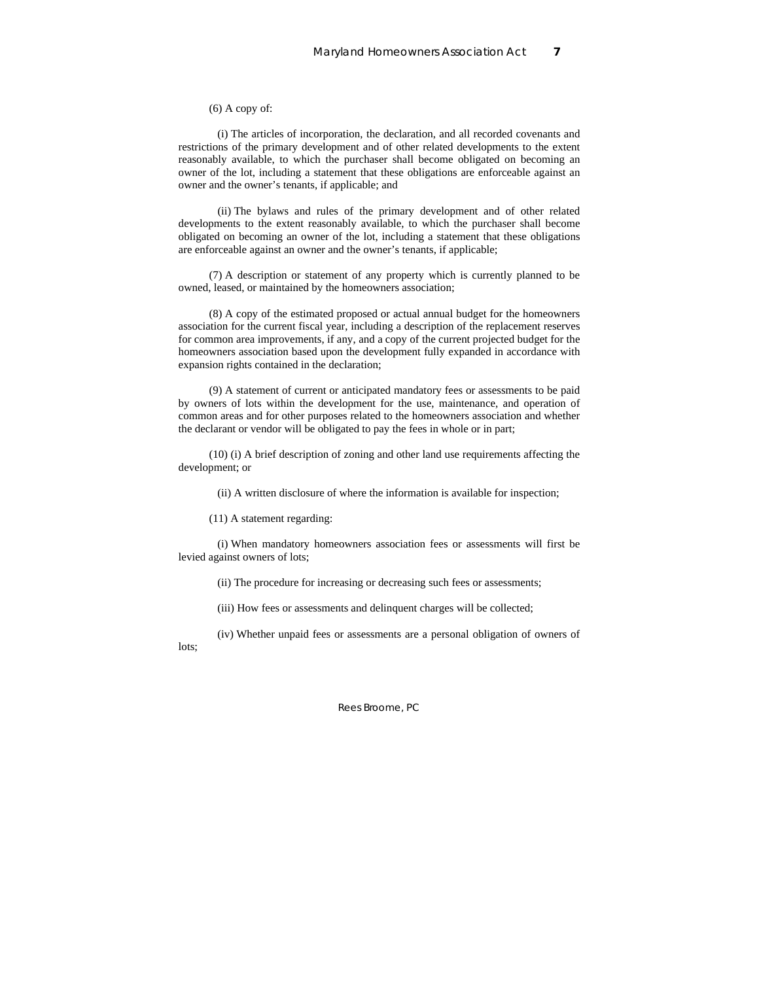(6) A copy of:

 (i) The articles of incorporation, the declaration, and all recorded covenants and restrictions of the primary development and of other related developments to the extent reasonably available, to which the purchaser shall become obligated on becoming an owner of the lot, including a statement that these obligations are enforceable against an owner and the owner's tenants, if applicable; and

 (ii) The bylaws and rules of the primary development and of other related developments to the extent reasonably available, to which the purchaser shall become obligated on becoming an owner of the lot, including a statement that these obligations are enforceable against an owner and the owner's tenants, if applicable;

 (7) A description or statement of any property which is currently planned to be owned, leased, or maintained by the homeowners association;

 (8) A copy of the estimated proposed or actual annual budget for the homeowners association for the current fiscal year, including a description of the replacement reserves for common area improvements, if any, and a copy of the current projected budget for the homeowners association based upon the development fully expanded in accordance with expansion rights contained in the declaration;

 (9) A statement of current or anticipated mandatory fees or assessments to be paid by owners of lots within the development for the use, maintenance, and operation of common areas and for other purposes related to the homeowners association and whether the declarant or vendor will be obligated to pay the fees in whole or in part;

 (10) (i) A brief description of zoning and other land use requirements affecting the development; or

(ii) A written disclosure of where the information is available for inspection;

(11) A statement regarding:

 (i) When mandatory homeowners association fees or assessments will first be levied against owners of lots;

(ii) The procedure for increasing or decreasing such fees or assessments;

(iii) How fees or assessments and delinquent charges will be collected;

 (iv) Whether unpaid fees or assessments are a personal obligation of owners of lots;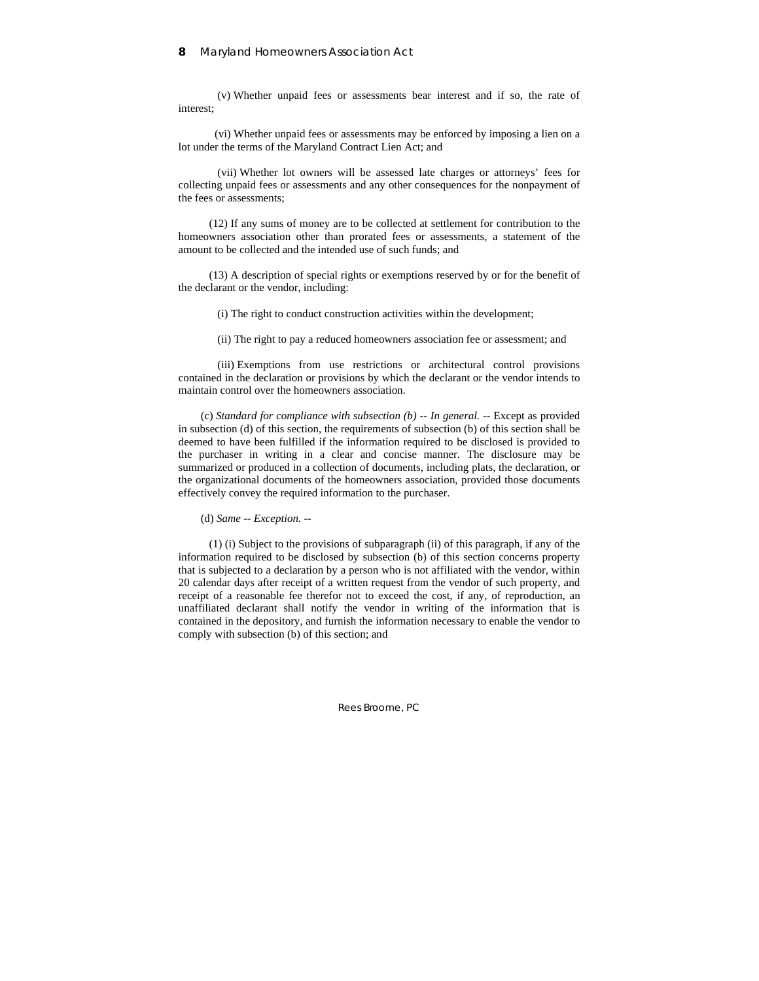(v) Whether unpaid fees or assessments bear interest and if so, the rate of interest;

 (vi) Whether unpaid fees or assessments may be enforced by imposing a lien on a lot under the terms of the Maryland Contract Lien Act; and

 (vii) Whether lot owners will be assessed late charges or attorneys' fees for collecting unpaid fees or assessments and any other consequences for the nonpayment of the fees or assessments;

 (12) If any sums of money are to be collected at settlement for contribution to the homeowners association other than prorated fees or assessments, a statement of the amount to be collected and the intended use of such funds; and

 (13) A description of special rights or exemptions reserved by or for the benefit of the declarant or the vendor, including:

(i) The right to conduct construction activities within the development;

(ii) The right to pay a reduced homeowners association fee or assessment; and

 (iii) Exemptions from use restrictions or architectural control provisions contained in the declaration or provisions by which the declarant or the vendor intends to maintain control over the homeowners association.

(c) *Standard for compliance with subsection (b) -- In general.* -- Except as provided in subsection (d) of this section, the requirements of subsection (b) of this section shall be deemed to have been fulfilled if the information required to be disclosed is provided to the purchaser in writing in a clear and concise manner. The disclosure may be summarized or produced in a collection of documents, including plats, the declaration, or the organizational documents of the homeowners association, provided those documents effectively convey the required information to the purchaser.

(d) *Same -- Exception.* --

 (1) (i) Subject to the provisions of subparagraph (ii) of this paragraph, if any of the information required to be disclosed by subsection (b) of this section concerns property that is subjected to a declaration by a person who is not affiliated with the vendor, within 20 calendar days after receipt of a written request from the vendor of such property, and receipt of a reasonable fee therefor not to exceed the cost, if any, of reproduction, an unaffiliated declarant shall notify the vendor in writing of the information that is contained in the depository, and furnish the information necessary to enable the vendor to comply with subsection (b) of this section; and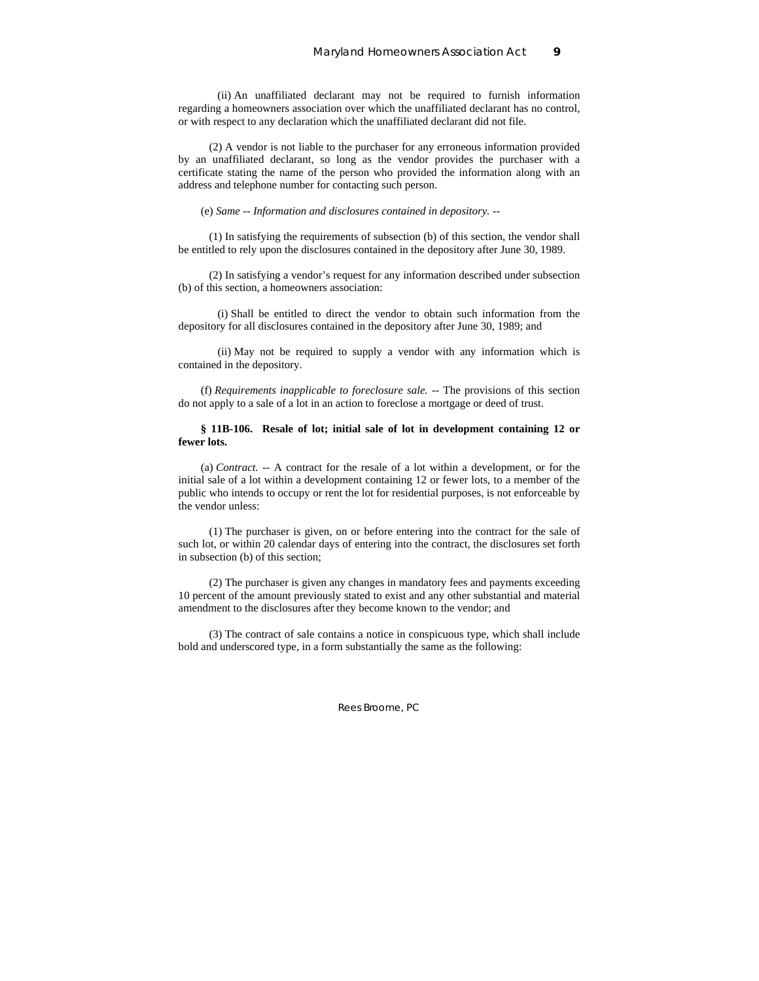(ii) An unaffiliated declarant may not be required to furnish information regarding a homeowners association over which the unaffiliated declarant has no control, or with respect to any declaration which the unaffiliated declarant did not file.

 (2) A vendor is not liable to the purchaser for any erroneous information provided by an unaffiliated declarant, so long as the vendor provides the purchaser with a certificate stating the name of the person who provided the information along with an address and telephone number for contacting such person.

(e) *Same -- Information and disclosures contained in depository.* --

 (1) In satisfying the requirements of subsection (b) of this section, the vendor shall be entitled to rely upon the disclosures contained in the depository after June 30, 1989.

 (2) In satisfying a vendor's request for any information described under subsection (b) of this section, a homeowners association:

 (i) Shall be entitled to direct the vendor to obtain such information from the depository for all disclosures contained in the depository after June 30, 1989; and

 (ii) May not be required to supply a vendor with any information which is contained in the depository.

(f) *Requirements inapplicable to foreclosure sale.* -- The provisions of this section do not apply to a sale of a lot in an action to foreclose a mortgage or deed of trust.

### **§ 11B-106. Resale of lot; initial sale of lot in development containing 12 or fewer lots.**

(a) *Contract.* -- A contract for the resale of a lot within a development, or for the initial sale of a lot within a development containing 12 or fewer lots, to a member of the public who intends to occupy or rent the lot for residential purposes, is not enforceable by the vendor unless:

 (1) The purchaser is given, on or before entering into the contract for the sale of such lot, or within 20 calendar days of entering into the contract, the disclosures set forth in subsection (b) of this section;

 (2) The purchaser is given any changes in mandatory fees and payments exceeding 10 percent of the amount previously stated to exist and any other substantial and material amendment to the disclosures after they become known to the vendor; and

 (3) The contract of sale contains a notice in conspicuous type, which shall include bold and underscored type, in a form substantially the same as the following: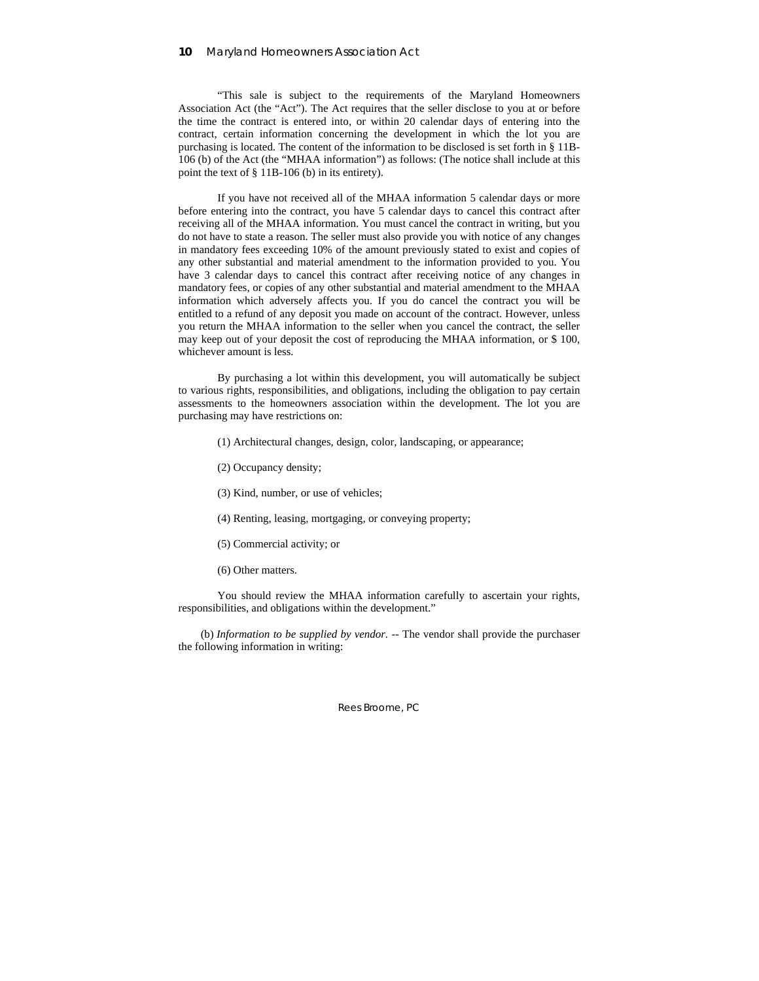"This sale is subject to the requirements of the Maryland Homeowners Association Act (the "Act"). The Act requires that the seller disclose to you at or before the time the contract is entered into, or within 20 calendar days of entering into the contract, certain information concerning the development in which the lot you are purchasing is located. The content of the information to be disclosed is set forth in § 11B-106 (b) of the Act (the "MHAA information") as follows: (The notice shall include at this point the text of § 11B-106 (b) in its entirety).

 If you have not received all of the MHAA information 5 calendar days or more before entering into the contract, you have 5 calendar days to cancel this contract after receiving all of the MHAA information. You must cancel the contract in writing, but you do not have to state a reason. The seller must also provide you with notice of any changes in mandatory fees exceeding 10% of the amount previously stated to exist and copies of any other substantial and material amendment to the information provided to you. You have 3 calendar days to cancel this contract after receiving notice of any changes in mandatory fees, or copies of any other substantial and material amendment to the MHAA information which adversely affects you. If you do cancel the contract you will be entitled to a refund of any deposit you made on account of the contract. However, unless you return the MHAA information to the seller when you cancel the contract, the seller may keep out of your deposit the cost of reproducing the MHAA information, or \$ 100, whichever amount is less.

 By purchasing a lot within this development, you will automatically be subject to various rights, responsibilities, and obligations, including the obligation to pay certain assessments to the homeowners association within the development. The lot you are purchasing may have restrictions on:

- (1) Architectural changes, design, color, landscaping, or appearance;
- (2) Occupancy density;
- (3) Kind, number, or use of vehicles;
- (4) Renting, leasing, mortgaging, or conveying property;
- (5) Commercial activity; or
- (6) Other matters.

 You should review the MHAA information carefully to ascertain your rights, responsibilities, and obligations within the development."

(b) *Information to be supplied by vendor.* -- The vendor shall provide the purchaser the following information in writing: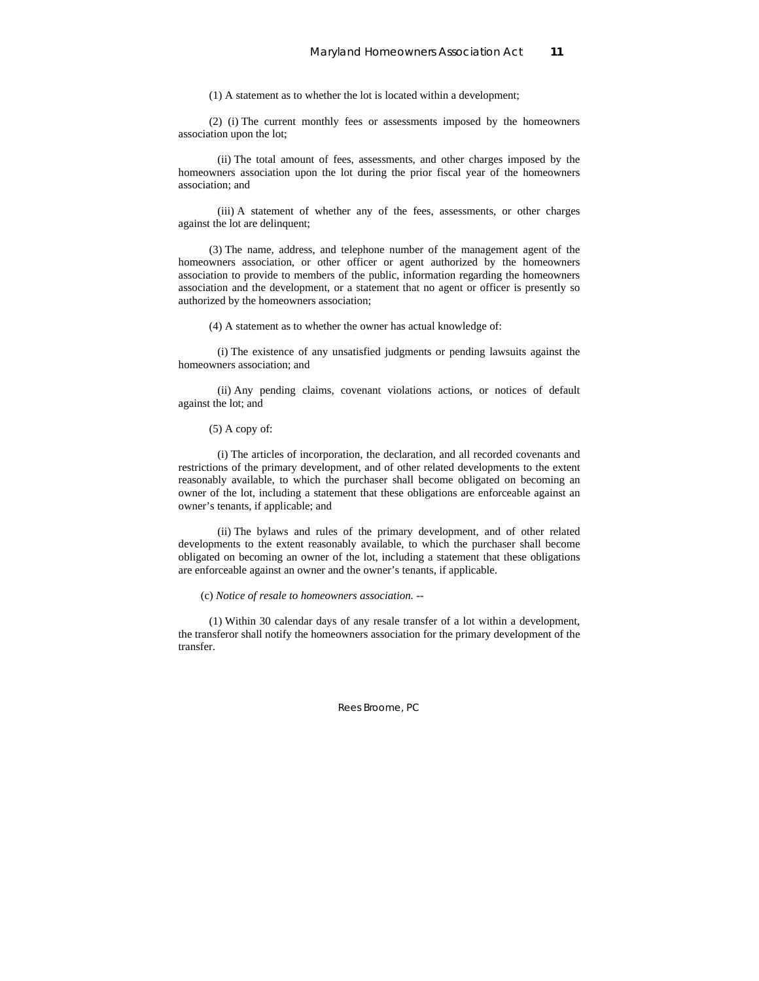(1) A statement as to whether the lot is located within a development;

 (2) (i) The current monthly fees or assessments imposed by the homeowners association upon the lot;

 (ii) The total amount of fees, assessments, and other charges imposed by the homeowners association upon the lot during the prior fiscal year of the homeowners association; and

 (iii) A statement of whether any of the fees, assessments, or other charges against the lot are delinquent;

 (3) The name, address, and telephone number of the management agent of the homeowners association, or other officer or agent authorized by the homeowners association to provide to members of the public, information regarding the homeowners association and the development, or a statement that no agent or officer is presently so authorized by the homeowners association;

(4) A statement as to whether the owner has actual knowledge of:

 (i) The existence of any unsatisfied judgments or pending lawsuits against the homeowners association; and

 (ii) Any pending claims, covenant violations actions, or notices of default against the lot; and

(5) A copy of:

 (i) The articles of incorporation, the declaration, and all recorded covenants and restrictions of the primary development, and of other related developments to the extent reasonably available, to which the purchaser shall become obligated on becoming an owner of the lot, including a statement that these obligations are enforceable against an owner's tenants, if applicable; and

 (ii) The bylaws and rules of the primary development, and of other related developments to the extent reasonably available, to which the purchaser shall become obligated on becoming an owner of the lot, including a statement that these obligations are enforceable against an owner and the owner's tenants, if applicable.

(c) *Notice of resale to homeowners association.* --

 (1) Within 30 calendar days of any resale transfer of a lot within a development, the transferor shall notify the homeowners association for the primary development of the transfer.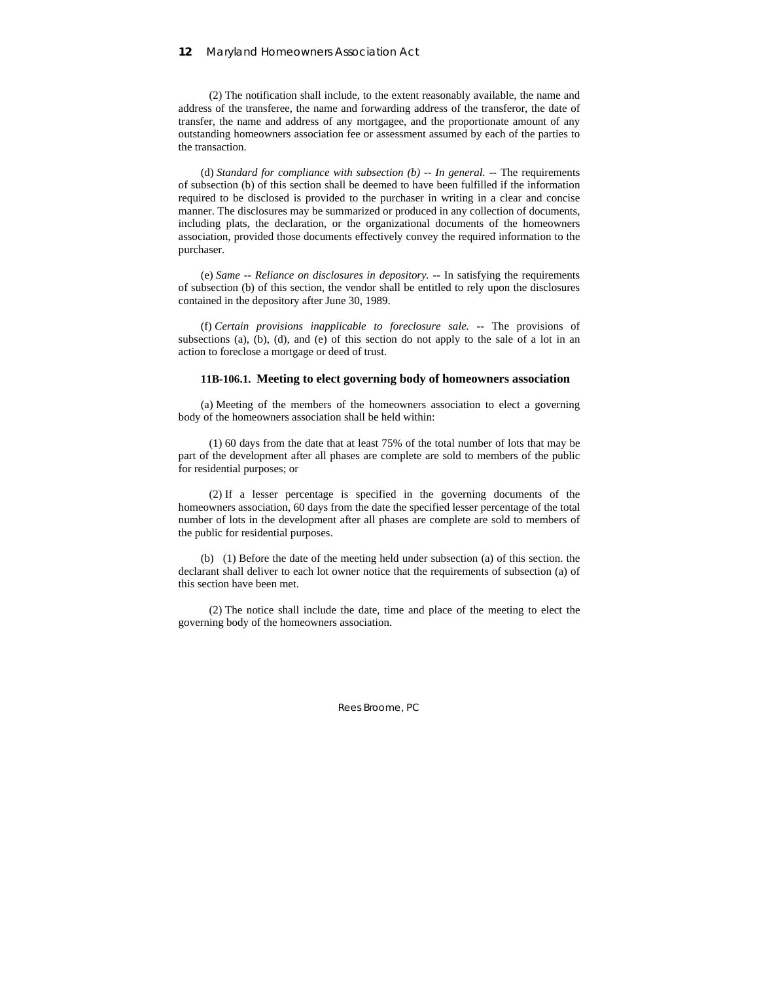(2) The notification shall include, to the extent reasonably available, the name and address of the transferee, the name and forwarding address of the transferor, the date of transfer, the name and address of any mortgagee, and the proportionate amount of any outstanding homeowners association fee or assessment assumed by each of the parties to the transaction.

(d) *Standard for compliance with subsection (b) -- In general.* -- The requirements of subsection (b) of this section shall be deemed to have been fulfilled if the information required to be disclosed is provided to the purchaser in writing in a clear and concise manner. The disclosures may be summarized or produced in any collection of documents, including plats, the declaration, or the organizational documents of the homeowners association, provided those documents effectively convey the required information to the purchaser.

(e) *Same -- Reliance on disclosures in depository.* -- In satisfying the requirements of subsection (b) of this section, the vendor shall be entitled to rely upon the disclosures contained in the depository after June 30, 1989.

(f) *Certain provisions inapplicable to foreclosure sale.* -- The provisions of subsections (a), (b), (d), and (e) of this section do not apply to the sale of a lot in an action to foreclose a mortgage or deed of trust.

### **11B-106.1. Meeting to elect governing body of homeowners association**

(a) Meeting of the members of the homeowners association to elect a governing body of the homeowners association shall be held within:

 (1) 60 days from the date that at least 75% of the total number of lots that may be part of the development after all phases are complete are sold to members of the public for residential purposes; or

 (2) If a lesser percentage is specified in the governing documents of the homeowners association, 60 days from the date the specified lesser percentage of the total number of lots in the development after all phases are complete are sold to members of the public for residential purposes.

(b) (1) Before the date of the meeting held under subsection (a) of this section. the declarant shall deliver to each lot owner notice that the requirements of subsection (a) of this section have been met.

 (2) The notice shall include the date, time and place of the meeting to elect the governing body of the homeowners association.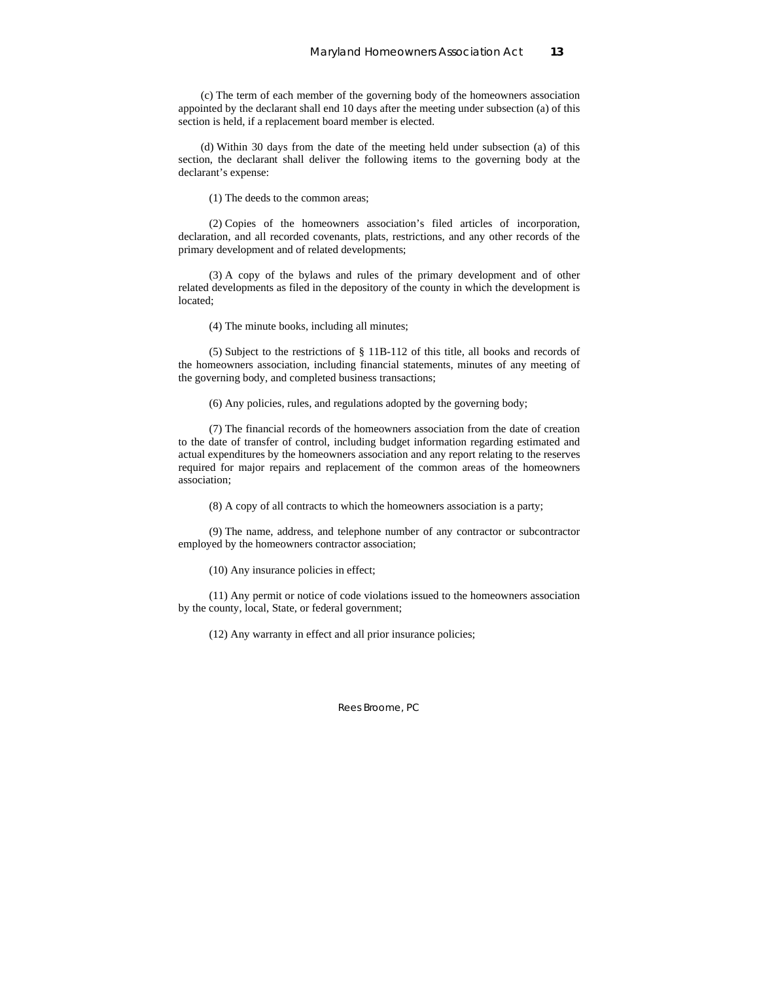(c) The term of each member of the governing body of the homeowners association appointed by the declarant shall end 10 days after the meeting under subsection (a) of this section is held, if a replacement board member is elected.

(d) Within 30 days from the date of the meeting held under subsection (a) of this section, the declarant shall deliver the following items to the governing body at the declarant's expense:

(1) The deeds to the common areas;

 (2) Copies of the homeowners association's filed articles of incorporation, declaration, and all recorded covenants, plats, restrictions, and any other records of the primary development and of related developments;

 (3) A copy of the bylaws and rules of the primary development and of other related developments as filed in the depository of the county in which the development is located;

(4) The minute books, including all minutes;

 (5) Subject to the restrictions of § 11B-112 of this title, all books and records of the homeowners association, including financial statements, minutes of any meeting of the governing body, and completed business transactions;

(6) Any policies, rules, and regulations adopted by the governing body;

 (7) The financial records of the homeowners association from the date of creation to the date of transfer of control, including budget information regarding estimated and actual expenditures by the homeowners association and any report relating to the reserves required for major repairs and replacement of the common areas of the homeowners association;

(8) A copy of all contracts to which the homeowners association is a party;

 (9) The name, address, and telephone number of any contractor or subcontractor employed by the homeowners contractor association;

(10) Any insurance policies in effect;

 (11) Any permit or notice of code violations issued to the homeowners association by the county, local, State, or federal government;

(12) Any warranty in effect and all prior insurance policies;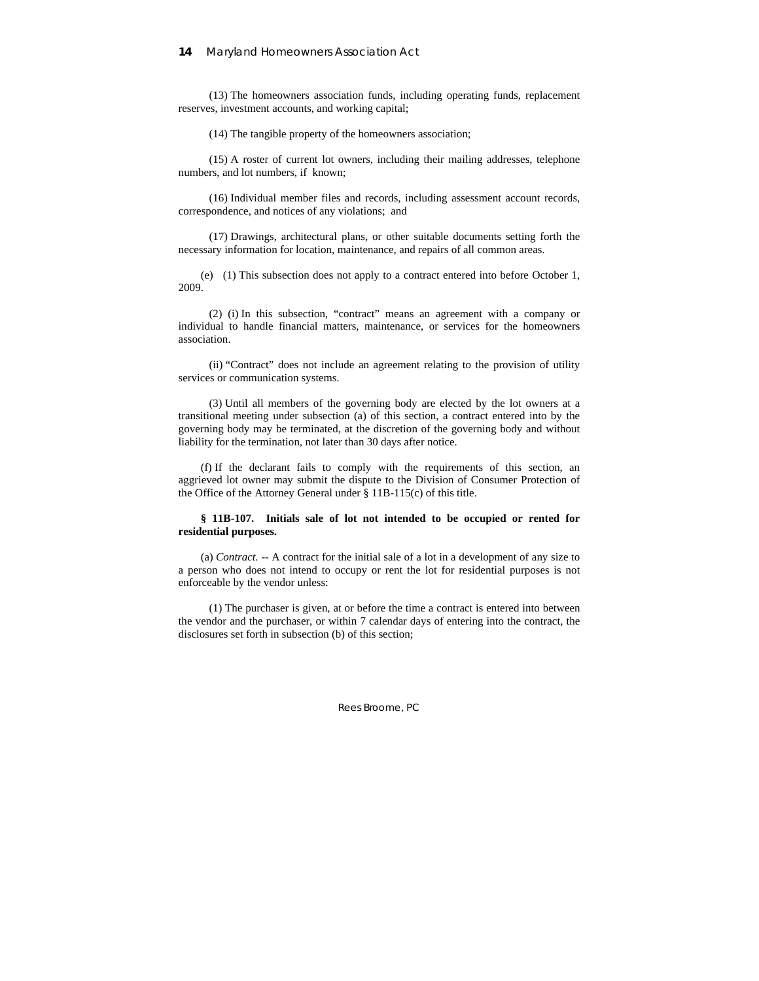(13) The homeowners association funds, including operating funds, replacement reserves, investment accounts, and working capital;

(14) The tangible property of the homeowners association;

 (15) A roster of current lot owners, including their mailing addresses, telephone numbers, and lot numbers, if known;

 (16) Individual member files and records, including assessment account records, correspondence, and notices of any violations; and

 (17) Drawings, architectural plans, or other suitable documents setting forth the necessary information for location, maintenance, and repairs of all common areas.

(e) (1) This subsection does not apply to a contract entered into before October 1, 2009.

 (2) (i) In this subsection, "contract" means an agreement with a company or individual to handle financial matters, maintenance, or services for the homeowners association.

 (ii) "Contract" does not include an agreement relating to the provision of utility services or communication systems.

 (3) Until all members of the governing body are elected by the lot owners at a transitional meeting under subsection (a) of this section, a contract entered into by the governing body may be terminated, at the discretion of the governing body and without liability for the termination, not later than 30 days after notice.

(f) If the declarant fails to comply with the requirements of this section, an aggrieved lot owner may submit the dispute to the Division of Consumer Protection of the Office of the Attorney General under § 11B-115(c) of this title.

### **§ 11B-107. Initials sale of lot not intended to be occupied or rented for residential purposes.**

(a) *Contract.* -- A contract for the initial sale of a lot in a development of any size to a person who does not intend to occupy or rent the lot for residential purposes is not enforceable by the vendor unless:

 (1) The purchaser is given, at or before the time a contract is entered into between the vendor and the purchaser, or within 7 calendar days of entering into the contract, the disclosures set forth in subsection (b) of this section;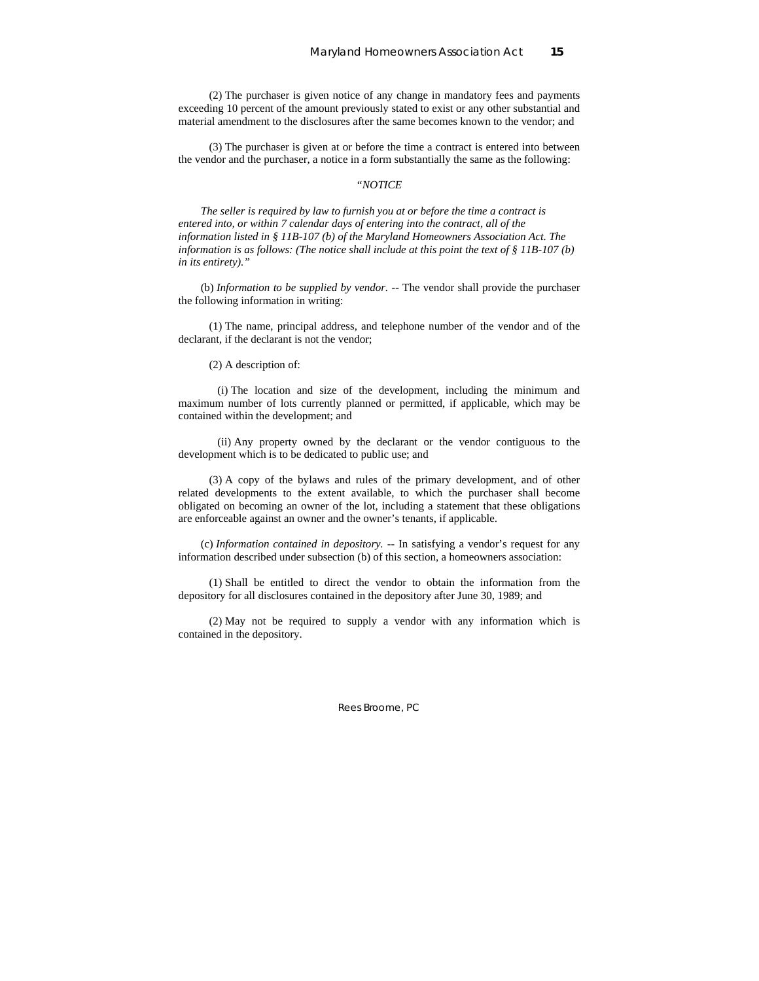(2) The purchaser is given notice of any change in mandatory fees and payments exceeding 10 percent of the amount previously stated to exist or any other substantial and material amendment to the disclosures after the same becomes known to the vendor; and

 (3) The purchaser is given at or before the time a contract is entered into between the vendor and the purchaser, a notice in a form substantially the same as the following:

### *"NOTICE*

*The seller is required by law to furnish you at or before the time a contract is entered into, or within 7 calendar days of entering into the contract, all of the information listed in § 11B-107 (b) of the Maryland Homeowners Association Act. The information is as follows: (The notice shall include at this point the text of § 11B-107 (b) in its entirety)."* 

(b) *Information to be supplied by vendor.* -- The vendor shall provide the purchaser the following information in writing:

 (1) The name, principal address, and telephone number of the vendor and of the declarant, if the declarant is not the vendor;

(2) A description of:

 (i) The location and size of the development, including the minimum and maximum number of lots currently planned or permitted, if applicable, which may be contained within the development; and

 (ii) Any property owned by the declarant or the vendor contiguous to the development which is to be dedicated to public use; and

 (3) A copy of the bylaws and rules of the primary development, and of other related developments to the extent available, to which the purchaser shall become obligated on becoming an owner of the lot, including a statement that these obligations are enforceable against an owner and the owner's tenants, if applicable.

(c) *Information contained in depository.* -- In satisfying a vendor's request for any information described under subsection (b) of this section, a homeowners association:

 (1) Shall be entitled to direct the vendor to obtain the information from the depository for all disclosures contained in the depository after June 30, 1989; and

 (2) May not be required to supply a vendor with any information which is contained in the depository.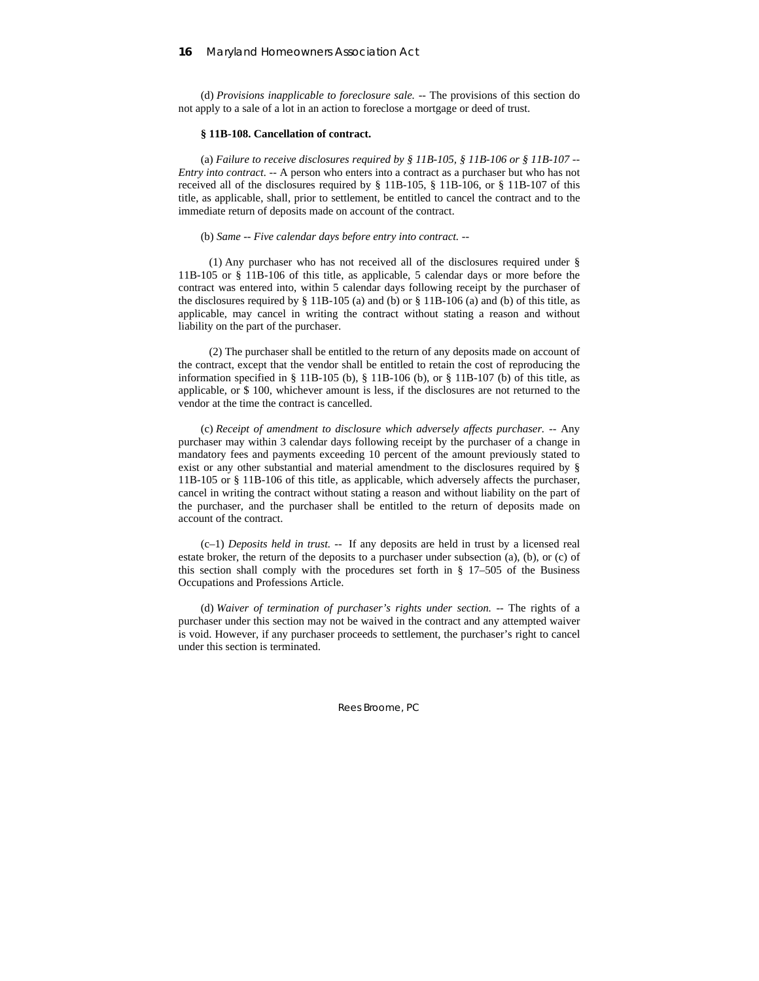(d) *Provisions inapplicable to foreclosure sale.* -- The provisions of this section do not apply to a sale of a lot in an action to foreclose a mortgage or deed of trust.

#### **§ 11B-108. Cancellation of contract.**

(a) *Failure to receive disclosures required by § 11B-105, § 11B-106 or § 11B-107 -- Entry into contract.* -- A person who enters into a contract as a purchaser but who has not received all of the disclosures required by § 11B-105, § 11B-106, or § 11B-107 of this title, as applicable, shall, prior to settlement, be entitled to cancel the contract and to the immediate return of deposits made on account of the contract.

### (b) *Same -- Five calendar days before entry into contract.* --

 (1) Any purchaser who has not received all of the disclosures required under § 11B-105 or § 11B-106 of this title, as applicable, 5 calendar days or more before the contract was entered into, within 5 calendar days following receipt by the purchaser of the disclosures required by  $\S$  11B-105 (a) and (b) or  $\S$  11B-106 (a) and (b) of this title, as applicable, may cancel in writing the contract without stating a reason and without liability on the part of the purchaser.

 (2) The purchaser shall be entitled to the return of any deposits made on account of the contract, except that the vendor shall be entitled to retain the cost of reproducing the information specified in § 11B-105 (b), § 11B-106 (b), or § 11B-107 (b) of this title, as applicable, or \$ 100, whichever amount is less, if the disclosures are not returned to the vendor at the time the contract is cancelled.

(c) *Receipt of amendment to disclosure which adversely affects purchaser.* -- Any purchaser may within 3 calendar days following receipt by the purchaser of a change in mandatory fees and payments exceeding 10 percent of the amount previously stated to exist or any other substantial and material amendment to the disclosures required by § 11B-105 or § 11B-106 of this title, as applicable, which adversely affects the purchaser, cancel in writing the contract without stating a reason and without liability on the part of the purchaser, and the purchaser shall be entitled to the return of deposits made on account of the contract.

(c–1) *Deposits held in trust. --* If any deposits are held in trust by a licensed real estate broker, the return of the deposits to a purchaser under subsection (a), (b), or (c) of this section shall comply with the procedures set forth in § 17–505 of the Business Occupations and Professions Article.

(d) *Waiver of termination of purchaser's rights under section.* -- The rights of a purchaser under this section may not be waived in the contract and any attempted waiver is void. However, if any purchaser proceeds to settlement, the purchaser's right to cancel under this section is terminated.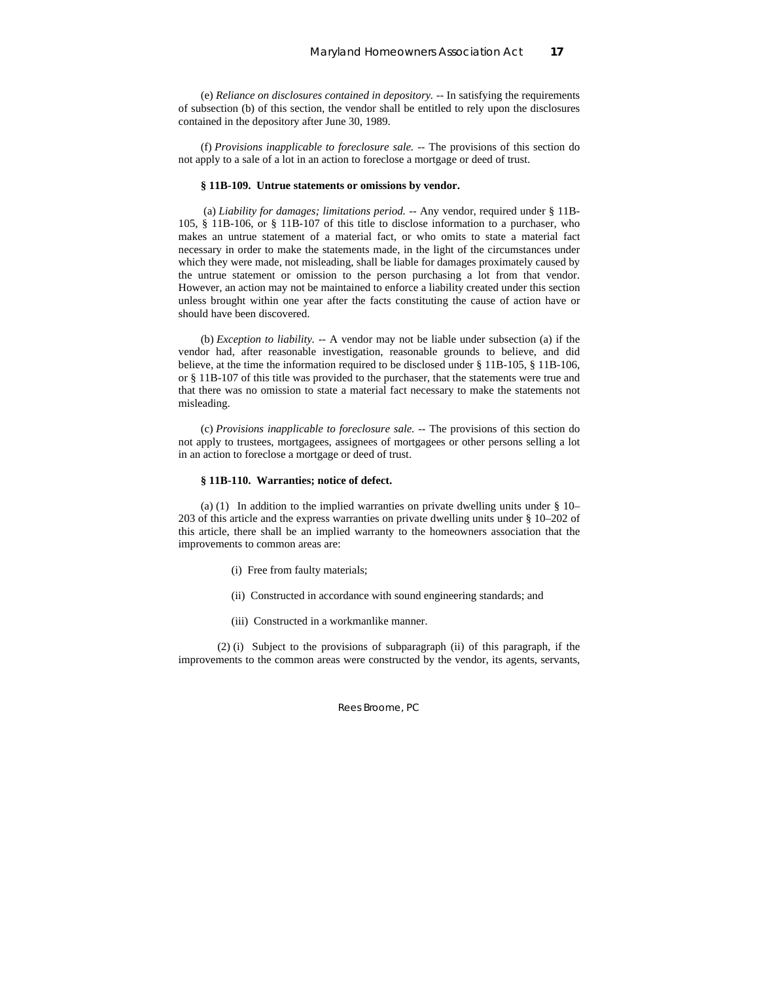(e) *Reliance on disclosures contained in depository.* -- In satisfying the requirements of subsection (b) of this section, the vendor shall be entitled to rely upon the disclosures contained in the depository after June 30, 1989.

(f) *Provisions inapplicable to foreclosure sale.* -- The provisions of this section do not apply to a sale of a lot in an action to foreclose a mortgage or deed of trust.

#### **§ 11B-109. Untrue statements or omissions by vendor.**

 (a) *Liability for damages; limitations period.* -- Any vendor, required under § 11B-105, § 11B-106, or § 11B-107 of this title to disclose information to a purchaser, who makes an untrue statement of a material fact, or who omits to state a material fact necessary in order to make the statements made, in the light of the circumstances under which they were made, not misleading, shall be liable for damages proximately caused by the untrue statement or omission to the person purchasing a lot from that vendor. However, an action may not be maintained to enforce a liability created under this section unless brought within one year after the facts constituting the cause of action have or should have been discovered.

(b) *Exception to liability.* -- A vendor may not be liable under subsection (a) if the vendor had, after reasonable investigation, reasonable grounds to believe, and did believe, at the time the information required to be disclosed under § 11B-105, § 11B-106, or § 11B-107 of this title was provided to the purchaser, that the statements were true and that there was no omission to state a material fact necessary to make the statements not misleading.

(c) *Provisions inapplicable to foreclosure sale.* -- The provisions of this section do not apply to trustees, mortgagees, assignees of mortgagees or other persons selling a lot in an action to foreclose a mortgage or deed of trust.

#### **§ 11B-110. Warranties; notice of defect.**

(a) (1) In addition to the implied warranties on private dwelling units under § 10– 203 of this article and the express warranties on private dwelling units under § 10–202 of this article, there shall be an implied warranty to the homeowners association that the improvements to common areas are:

- (i) Free from faulty materials;
- (ii) Constructed in accordance with sound engineering standards; and
- (iii) Constructed in a workmanlike manner.

 (2) (i) Subject to the provisions of subparagraph (ii) of this paragraph, if the improvements to the common areas were constructed by the vendor, its agents, servants,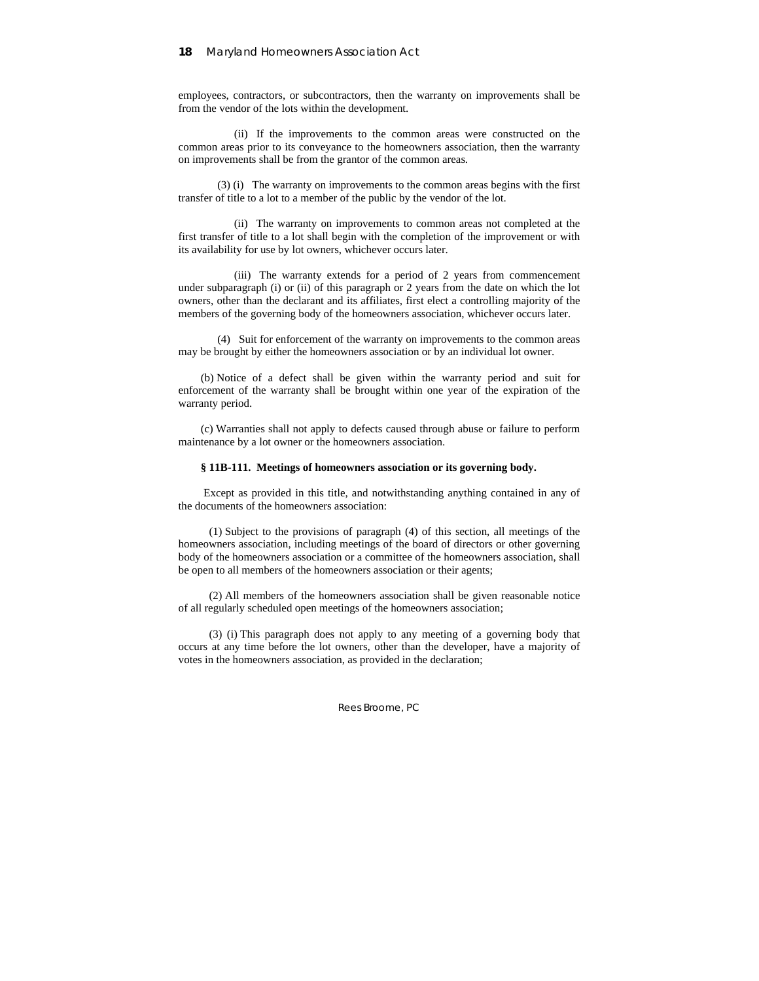employees, contractors, or subcontractors, then the warranty on improvements shall be from the vendor of the lots within the development.

 (ii) If the improvements to the common areas were constructed on the common areas prior to its conveyance to the homeowners association, then the warranty on improvements shall be from the grantor of the common areas.

 (3) (i) The warranty on improvements to the common areas begins with the first transfer of title to a lot to a member of the public by the vendor of the lot.

 (ii) The warranty on improvements to common areas not completed at the first transfer of title to a lot shall begin with the completion of the improvement or with its availability for use by lot owners, whichever occurs later.

 (iii) The warranty extends for a period of 2 years from commencement under subparagraph (i) or (ii) of this paragraph or 2 years from the date on which the lot owners, other than the declarant and its affiliates, first elect a controlling majority of the members of the governing body of the homeowners association, whichever occurs later.

 (4) Suit for enforcement of the warranty on improvements to the common areas may be brought by either the homeowners association or by an individual lot owner.

(b) Notice of a defect shall be given within the warranty period and suit for enforcement of the warranty shall be brought within one year of the expiration of the warranty period.

(c) Warranties shall not apply to defects caused through abuse or failure to perform maintenance by a lot owner or the homeowners association.

### **§ 11B-111. Meetings of homeowners association or its governing body.**

 Except as provided in this title, and notwithstanding anything contained in any of the documents of the homeowners association:

 (1) Subject to the provisions of paragraph (4) of this section, all meetings of the homeowners association, including meetings of the board of directors or other governing body of the homeowners association or a committee of the homeowners association, shall be open to all members of the homeowners association or their agents;

 (2) All members of the homeowners association shall be given reasonable notice of all regularly scheduled open meetings of the homeowners association;

 (3) (i) This paragraph does not apply to any meeting of a governing body that occurs at any time before the lot owners, other than the developer, have a majority of votes in the homeowners association, as provided in the declaration;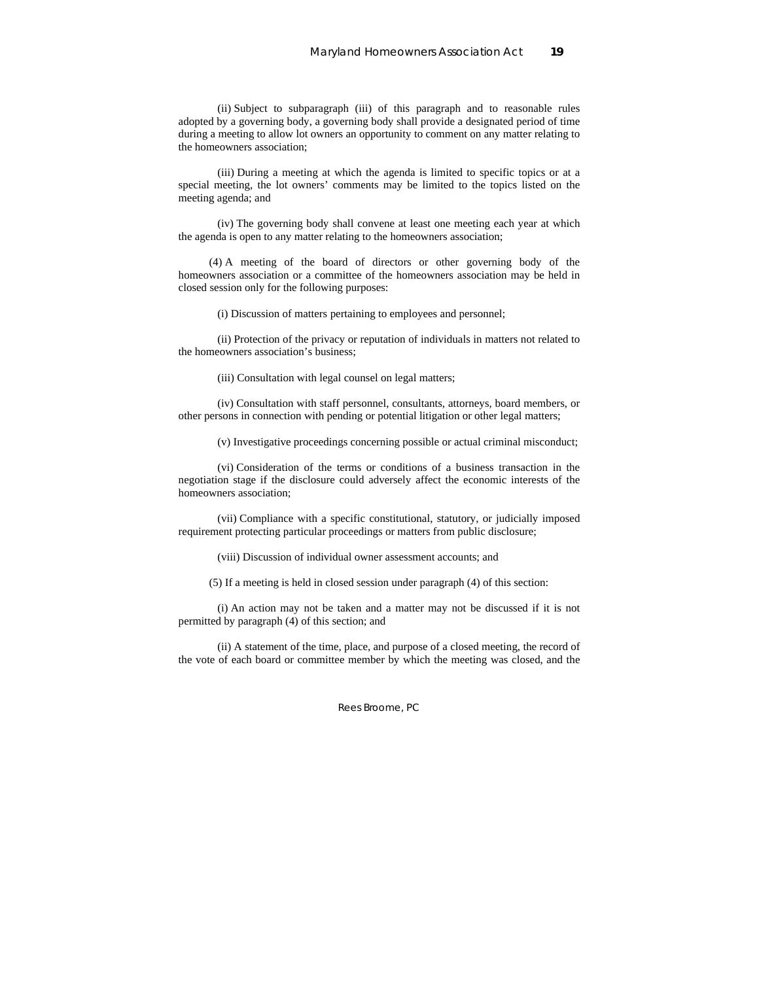(ii) Subject to subparagraph (iii) of this paragraph and to reasonable rules adopted by a governing body, a governing body shall provide a designated period of time during a meeting to allow lot owners an opportunity to comment on any matter relating to the homeowners association;

 (iii) During a meeting at which the agenda is limited to specific topics or at a special meeting, the lot owners' comments may be limited to the topics listed on the meeting agenda; and

 (iv) The governing body shall convene at least one meeting each year at which the agenda is open to any matter relating to the homeowners association;

 (4) A meeting of the board of directors or other governing body of the homeowners association or a committee of the homeowners association may be held in closed session only for the following purposes:

(i) Discussion of matters pertaining to employees and personnel;

 (ii) Protection of the privacy or reputation of individuals in matters not related to the homeowners association's business;

(iii) Consultation with legal counsel on legal matters;

 (iv) Consultation with staff personnel, consultants, attorneys, board members, or other persons in connection with pending or potential litigation or other legal matters;

(v) Investigative proceedings concerning possible or actual criminal misconduct;

 (vi) Consideration of the terms or conditions of a business transaction in the negotiation stage if the disclosure could adversely affect the economic interests of the homeowners association;

 (vii) Compliance with a specific constitutional, statutory, or judicially imposed requirement protecting particular proceedings or matters from public disclosure;

(viii) Discussion of individual owner assessment accounts; and

(5) If a meeting is held in closed session under paragraph (4) of this section:

 (i) An action may not be taken and a matter may not be discussed if it is not permitted by paragraph (4) of this section; and

 (ii) A statement of the time, place, and purpose of a closed meeting, the record of the vote of each board or committee member by which the meeting was closed, and the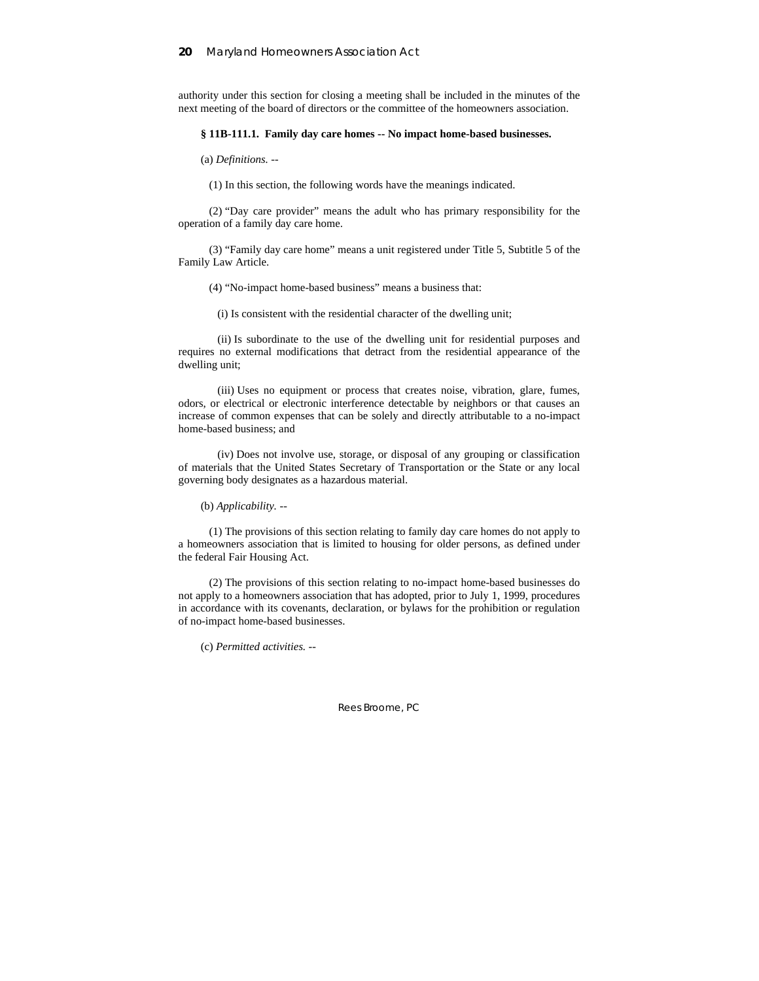authority under this section for closing a meeting shall be included in the minutes of the next meeting of the board of directors or the committee of the homeowners association.

### **§ 11B-111.1. Family day care homes -- No impact home-based businesses.**

(a) *Definitions.* --

(1) In this section, the following words have the meanings indicated.

 (2) "Day care provider" means the adult who has primary responsibility for the operation of a family day care home.

 (3) "Family day care home" means a unit registered under Title 5, Subtitle 5 of the Family Law Article.

(4) "No-impact home-based business" means a business that:

(i) Is consistent with the residential character of the dwelling unit;

 (ii) Is subordinate to the use of the dwelling unit for residential purposes and requires no external modifications that detract from the residential appearance of the dwelling unit;

 (iii) Uses no equipment or process that creates noise, vibration, glare, fumes, odors, or electrical or electronic interference detectable by neighbors or that causes an increase of common expenses that can be solely and directly attributable to a no-impact home-based business; and

 (iv) Does not involve use, storage, or disposal of any grouping or classification of materials that the United States Secretary of Transportation or the State or any local governing body designates as a hazardous material.

(b) *Applicability.* --

 (1) The provisions of this section relating to family day care homes do not apply to a homeowners association that is limited to housing for older persons, as defined under the federal Fair Housing Act.

 (2) The provisions of this section relating to no-impact home-based businesses do not apply to a homeowners association that has adopted, prior to July 1, 1999, procedures in accordance with its covenants, declaration, or bylaws for the prohibition or regulation of no-impact home-based businesses.

(c) *Permitted activities.* --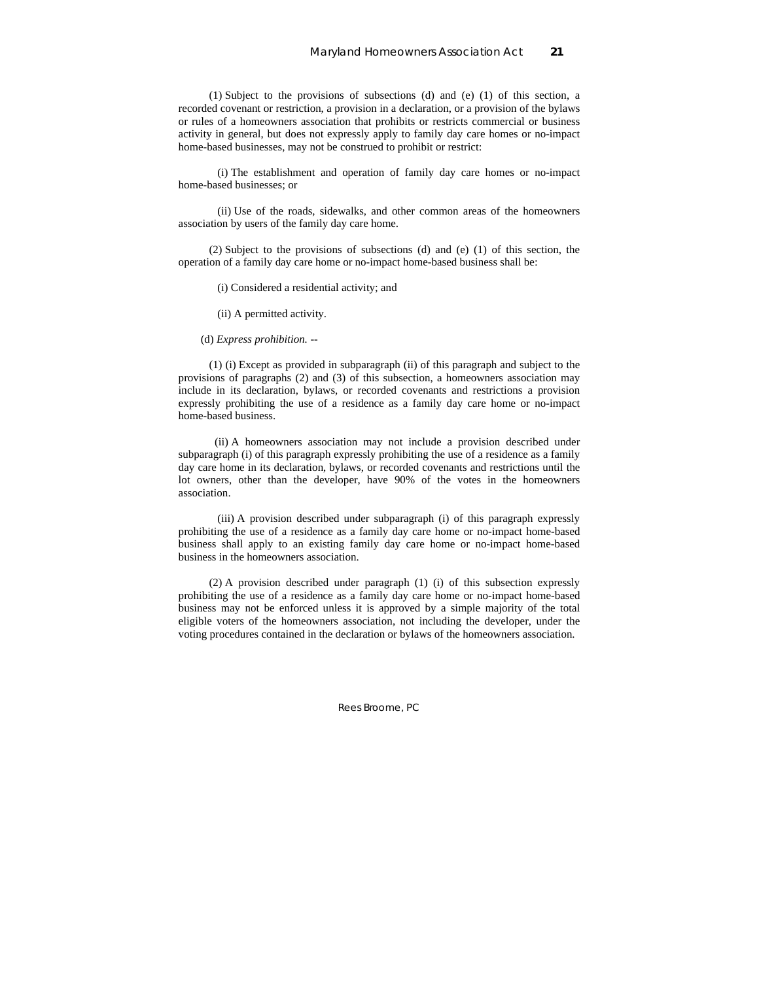(1) Subject to the provisions of subsections (d) and (e) (1) of this section, a recorded covenant or restriction, a provision in a declaration, or a provision of the bylaws or rules of a homeowners association that prohibits or restricts commercial or business activity in general, but does not expressly apply to family day care homes or no-impact home-based businesses, may not be construed to prohibit or restrict:

 (i) The establishment and operation of family day care homes or no-impact home-based businesses; or

 (ii) Use of the roads, sidewalks, and other common areas of the homeowners association by users of the family day care home.

 (2) Subject to the provisions of subsections (d) and (e) (1) of this section, the operation of a family day care home or no-impact home-based business shall be:

(i) Considered a residential activity; and

(ii) A permitted activity.

(d) *Express prohibition.* --

 (1) (i) Except as provided in subparagraph (ii) of this paragraph and subject to the provisions of paragraphs (2) and (3) of this subsection, a homeowners association may include in its declaration, bylaws, or recorded covenants and restrictions a provision expressly prohibiting the use of a residence as a family day care home or no-impact home-based business.

 (ii) A homeowners association may not include a provision described under subparagraph (i) of this paragraph expressly prohibiting the use of a residence as a family day care home in its declaration, bylaws, or recorded covenants and restrictions until the lot owners, other than the developer, have 90% of the votes in the homeowners association.

 (iii) A provision described under subparagraph (i) of this paragraph expressly prohibiting the use of a residence as a family day care home or no-impact home-based business shall apply to an existing family day care home or no-impact home-based business in the homeowners association.

 (2) A provision described under paragraph (1) (i) of this subsection expressly prohibiting the use of a residence as a family day care home or no-impact home-based business may not be enforced unless it is approved by a simple majority of the total eligible voters of the homeowners association, not including the developer, under the voting procedures contained in the declaration or bylaws of the homeowners association.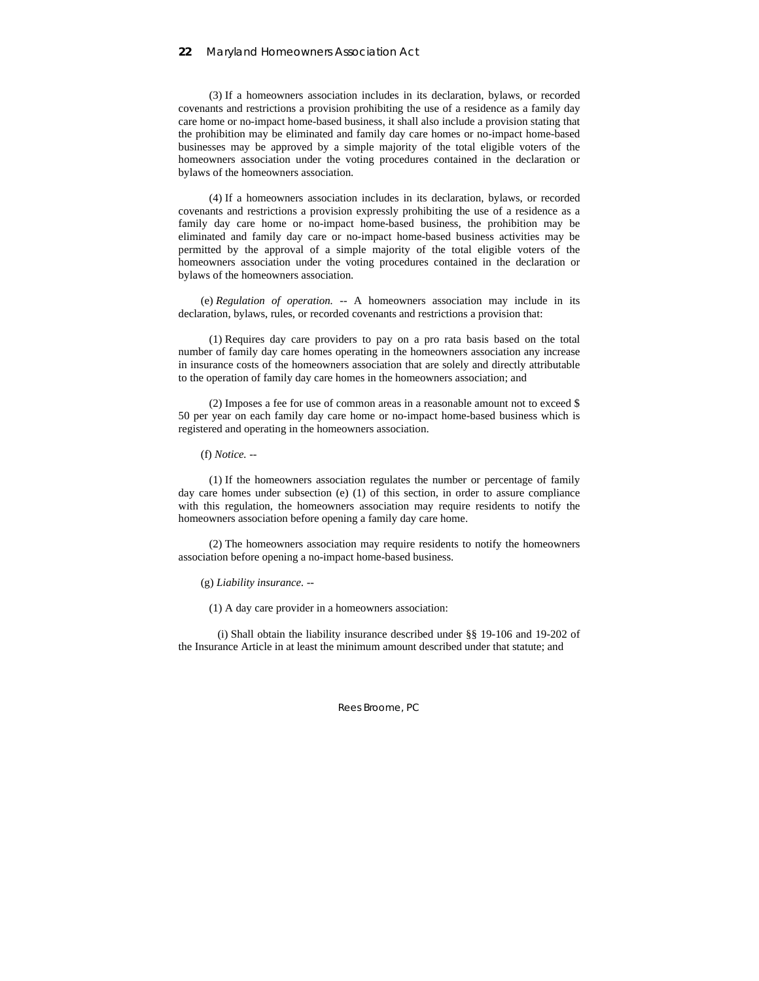(3) If a homeowners association includes in its declaration, bylaws, or recorded covenants and restrictions a provision prohibiting the use of a residence as a family day care home or no-impact home-based business, it shall also include a provision stating that the prohibition may be eliminated and family day care homes or no-impact home-based businesses may be approved by a simple majority of the total eligible voters of the homeowners association under the voting procedures contained in the declaration or bylaws of the homeowners association.

 (4) If a homeowners association includes in its declaration, bylaws, or recorded covenants and restrictions a provision expressly prohibiting the use of a residence as a family day care home or no-impact home-based business, the prohibition may be eliminated and family day care or no-impact home-based business activities may be permitted by the approval of a simple majority of the total eligible voters of the homeowners association under the voting procedures contained in the declaration or bylaws of the homeowners association.

(e) *Regulation of operation.* -- A homeowners association may include in its declaration, bylaws, rules, or recorded covenants and restrictions a provision that:

 (1) Requires day care providers to pay on a pro rata basis based on the total number of family day care homes operating in the homeowners association any increase in insurance costs of the homeowners association that are solely and directly attributable to the operation of family day care homes in the homeowners association; and

 (2) Imposes a fee for use of common areas in a reasonable amount not to exceed \$ 50 per year on each family day care home or no-impact home-based business which is registered and operating in the homeowners association.

(f) *Notice.* --

 (1) If the homeowners association regulates the number or percentage of family day care homes under subsection (e) (1) of this section, in order to assure compliance with this regulation, the homeowners association may require residents to notify the homeowners association before opening a family day care home.

 (2) The homeowners association may require residents to notify the homeowners association before opening a no-impact home-based business.

(g) *Liability insurance.* --

(1) A day care provider in a homeowners association:

 (i) Shall obtain the liability insurance described under §§ 19-106 and 19-202 of the Insurance Article in at least the minimum amount described under that statute; and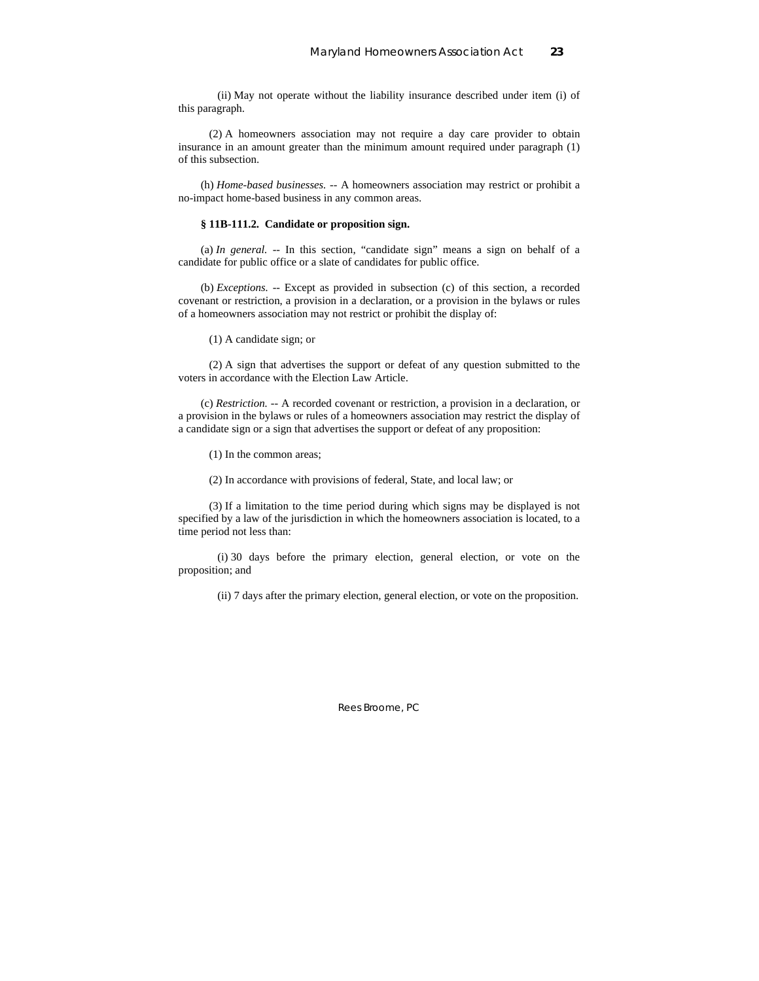(ii) May not operate without the liability insurance described under item (i) of this paragraph.

 (2) A homeowners association may not require a day care provider to obtain insurance in an amount greater than the minimum amount required under paragraph (1) of this subsection.

(h) *Home-based businesses.* -- A homeowners association may restrict or prohibit a no-impact home-based business in any common areas.

### **§ 11B-111.2. Candidate or proposition sign.**

(a) *In general.* -- In this section, "candidate sign" means a sign on behalf of a candidate for public office or a slate of candidates for public office.

(b) *Exceptions.* -- Except as provided in subsection (c) of this section, a recorded covenant or restriction, a provision in a declaration, or a provision in the bylaws or rules of a homeowners association may not restrict or prohibit the display of:

(1) A candidate sign; or

 (2) A sign that advertises the support or defeat of any question submitted to the voters in accordance with the Election Law Article.

(c) *Restriction.* -- A recorded covenant or restriction, a provision in a declaration, or a provision in the bylaws or rules of a homeowners association may restrict the display of a candidate sign or a sign that advertises the support or defeat of any proposition:

(1) In the common areas;

(2) In accordance with provisions of federal, State, and local law; or

 (3) If a limitation to the time period during which signs may be displayed is not specified by a law of the jurisdiction in which the homeowners association is located, to a time period not less than:

 (i) 30 days before the primary election, general election, or vote on the proposition; and

(ii) 7 days after the primary election, general election, or vote on the proposition.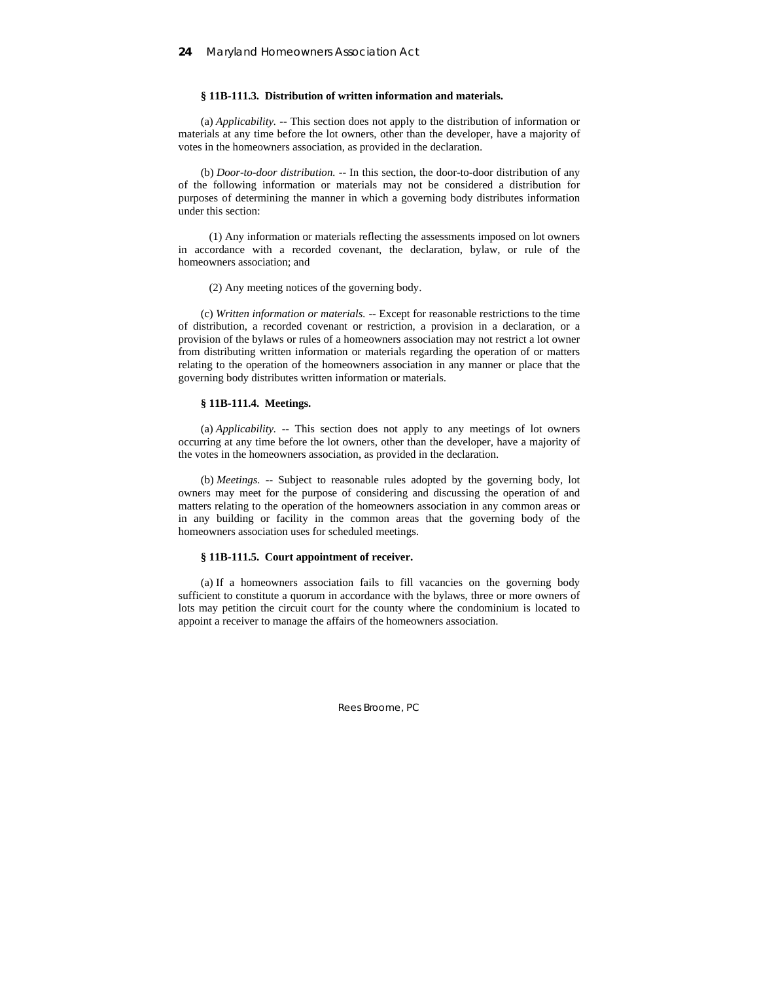### **§ 11B-111.3. Distribution of written information and materials.**

(a) *Applicability.* -- This section does not apply to the distribution of information or materials at any time before the lot owners, other than the developer, have a majority of votes in the homeowners association, as provided in the declaration.

(b) *Door-to-door distribution.* -- In this section, the door-to-door distribution of any of the following information or materials may not be considered a distribution for purposes of determining the manner in which a governing body distributes information under this section:

 (1) Any information or materials reflecting the assessments imposed on lot owners in accordance with a recorded covenant, the declaration, bylaw, or rule of the homeowners association; and

(2) Any meeting notices of the governing body.

(c) *Written information or materials.* -- Except for reasonable restrictions to the time of distribution, a recorded covenant or restriction, a provision in a declaration, or a provision of the bylaws or rules of a homeowners association may not restrict a lot owner from distributing written information or materials regarding the operation of or matters relating to the operation of the homeowners association in any manner or place that the governing body distributes written information or materials.

### **§ 11B-111.4. Meetings.**

(a) *Applicability.* -- This section does not apply to any meetings of lot owners occurring at any time before the lot owners, other than the developer, have a majority of the votes in the homeowners association, as provided in the declaration.

(b) *Meetings.* -- Subject to reasonable rules adopted by the governing body, lot owners may meet for the purpose of considering and discussing the operation of and matters relating to the operation of the homeowners association in any common areas or in any building or facility in the common areas that the governing body of the homeowners association uses for scheduled meetings.

### **§ 11B-111.5. Court appointment of receiver.**

(a) If a homeowners association fails to fill vacancies on the governing body sufficient to constitute a quorum in accordance with the bylaws, three or more owners of lots may petition the circuit court for the county where the condominium is located to appoint a receiver to manage the affairs of the homeowners association.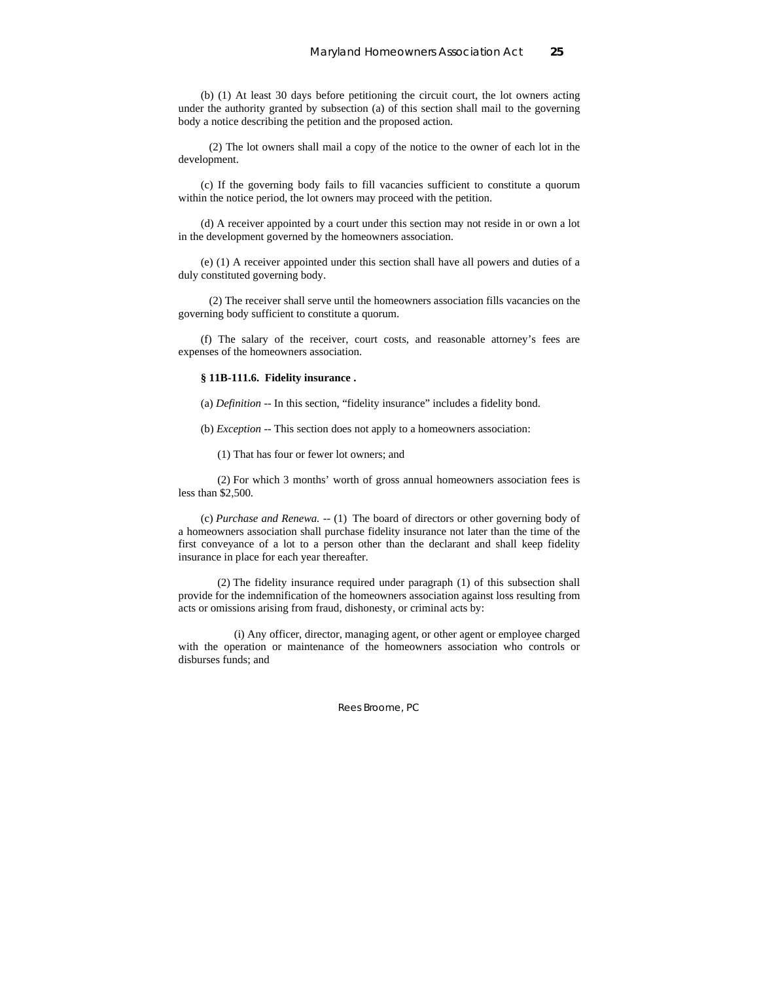(b) (1) At least 30 days before petitioning the circuit court, the lot owners acting under the authority granted by subsection (a) of this section shall mail to the governing body a notice describing the petition and the proposed action.

 (2) The lot owners shall mail a copy of the notice to the owner of each lot in the development.

(c) If the governing body fails to fill vacancies sufficient to constitute a quorum within the notice period, the lot owners may proceed with the petition.

(d) A receiver appointed by a court under this section may not reside in or own a lot in the development governed by the homeowners association.

(e) (1) A receiver appointed under this section shall have all powers and duties of a duly constituted governing body.

 (2) The receiver shall serve until the homeowners association fills vacancies on the governing body sufficient to constitute a quorum.

(f) The salary of the receiver, court costs, and reasonable attorney's fees are expenses of the homeowners association.

#### **§ 11B-111.6. Fidelity insurance .**

(a) *Definition --* In this section, "fidelity insurance" includes a fidelity bond.

(b) *Exception --* This section does not apply to a homeowners association:

(1) That has four or fewer lot owners; and

 (2) For which 3 months' worth of gross annual homeowners association fees is less than \$2,500.

(c) *Purchase and Renewa. --* (1) The board of directors or other governing body of a homeowners association shall purchase fidelity insurance not later than the time of the first conveyance of a lot to a person other than the declarant and shall keep fidelity insurance in place for each year thereafter.

 (2) The fidelity insurance required under paragraph (1) of this subsection shall provide for the indemnification of the homeowners association against loss resulting from acts or omissions arising from fraud, dishonesty, or criminal acts by:

 (i) Any officer, director, managing agent, or other agent or employee charged with the operation or maintenance of the homeowners association who controls or disburses funds; and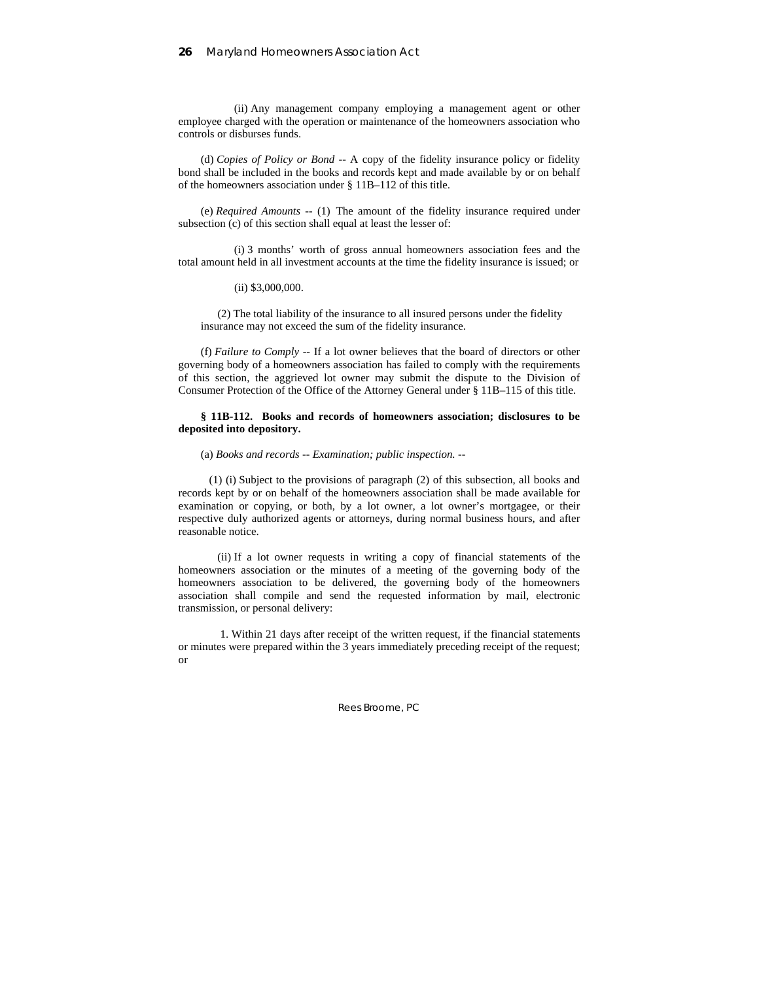(ii) Any management company employing a management agent or other employee charged with the operation or maintenance of the homeowners association who controls or disburses funds.

(d) *Copies of Policy or Bond --* A copy of the fidelity insurance policy or fidelity bond shall be included in the books and records kept and made available by or on behalf of the homeowners association under § 11B–112 of this title.

(e) *Required Amounts --* (1) The amount of the fidelity insurance required under subsection (c) of this section shall equal at least the lesser of:

 (i) 3 months' worth of gross annual homeowners association fees and the total amount held in all investment accounts at the time the fidelity insurance is issued; or

(ii) \$3,000,000.

 (2) The total liability of the insurance to all insured persons under the fidelity insurance may not exceed the sum of the fidelity insurance.

(f) *Failure to Comply --* If a lot owner believes that the board of directors or other governing body of a homeowners association has failed to comply with the requirements of this section, the aggrieved lot owner may submit the dispute to the Division of Consumer Protection of the Office of the Attorney General under § 11B–115 of this title.

### **§ 11B-112. Books and records of homeowners association; disclosures to be deposited into depository.**

### (a) *Books and records -- Examination; public inspection.* --

 (1) (i) Subject to the provisions of paragraph (2) of this subsection, all books and records kept by or on behalf of the homeowners association shall be made available for examination or copying, or both, by a lot owner, a lot owner's mortgagee, or their respective duly authorized agents or attorneys, during normal business hours, and after reasonable notice.

 (ii) If a lot owner requests in writing a copy of financial statements of the homeowners association or the minutes of a meeting of the governing body of the homeowners association to be delivered, the governing body of the homeowners association shall compile and send the requested information by mail, electronic transmission, or personal delivery:

 1. Within 21 days after receipt of the written request, if the financial statements or minutes were prepared within the 3 years immediately preceding receipt of the request; or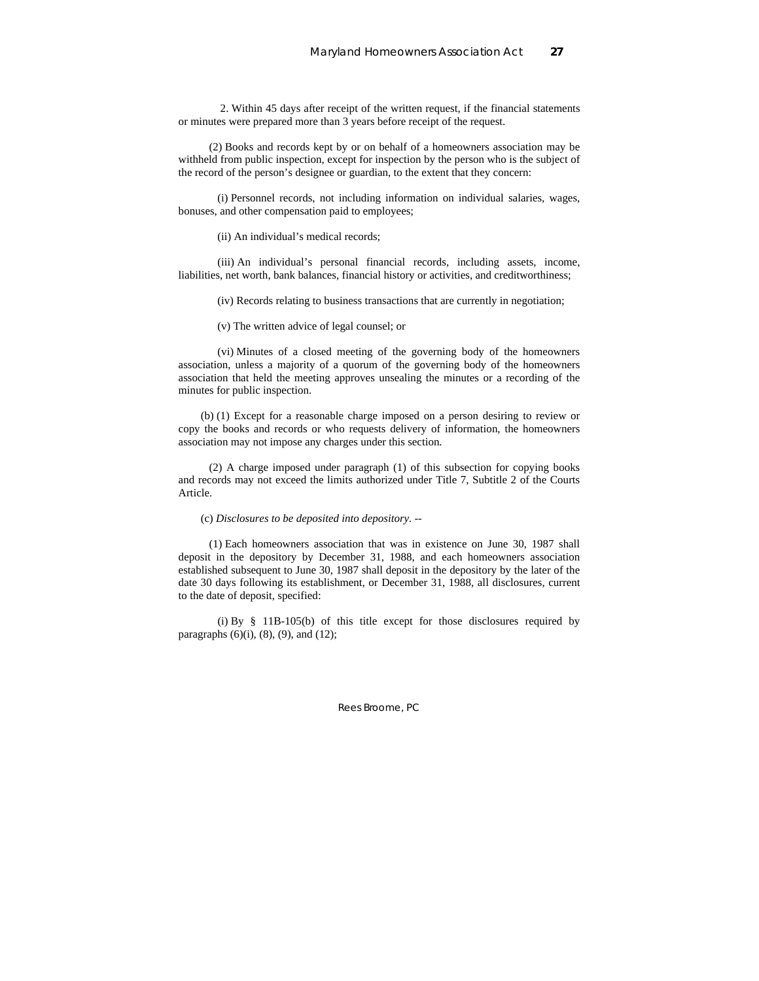2. Within 45 days after receipt of the written request, if the financial statements or minutes were prepared more than 3 years before receipt of the request.

 (2) Books and records kept by or on behalf of a homeowners association may be withheld from public inspection, except for inspection by the person who is the subject of the record of the person's designee or guardian, to the extent that they concern:

 (i) Personnel records, not including information on individual salaries, wages, bonuses, and other compensation paid to employees;

(ii) An individual's medical records;

 (iii) An individual's personal financial records, including assets, income, liabilities, net worth, bank balances, financial history or activities, and creditworthiness;

(iv) Records relating to business transactions that are currently in negotiation;

(v) The written advice of legal counsel; or

 (vi) Minutes of a closed meeting of the governing body of the homeowners association, unless a majority of a quorum of the governing body of the homeowners association that held the meeting approves unsealing the minutes or a recording of the minutes for public inspection.

(b) (1) Except for a reasonable charge imposed on a person desiring to review or copy the books and records or who requests delivery of information, the homeowners association may not impose any charges under this section.

 (2) A charge imposed under paragraph (1) of this subsection for copying books and records may not exceed the limits authorized under Title 7, Subtitle 2 of the Courts Article.

### (c) *Disclosures to be deposited into depository.* --

 (1) Each homeowners association that was in existence on June 30, 1987 shall deposit in the depository by December 31, 1988, and each homeowners association established subsequent to June 30, 1987 shall deposit in the depository by the later of the date 30 days following its establishment, or December 31, 1988, all disclosures, current to the date of deposit, specified:

 (i) By § 11B-105(b) of this title except for those disclosures required by paragraphs  $(6)(i)$ ,  $(8)$ ,  $(9)$ , and  $(12)$ ;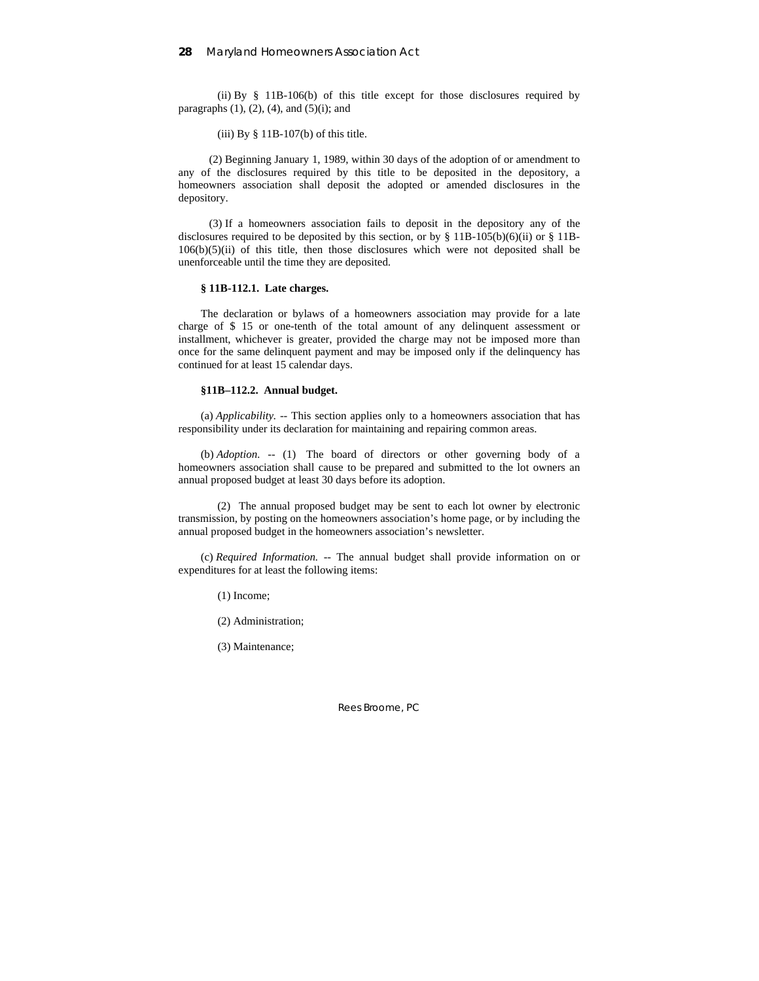(ii) By § 11B-106(b) of this title except for those disclosures required by paragraphs  $(1)$ ,  $(2)$ ,  $(4)$ , and  $(5)(i)$ ; and

(iii) By  $§$  11B-107(b) of this title.

 (2) Beginning January 1, 1989, within 30 days of the adoption of or amendment to any of the disclosures required by this title to be deposited in the depository, a homeowners association shall deposit the adopted or amended disclosures in the depository.

 (3) If a homeowners association fails to deposit in the depository any of the disclosures required to be deposited by this section, or by § 11B-105(b)(6)(ii) or § 11B- $106(b)(5)(ii)$  of this title, then those disclosures which were not deposited shall be unenforceable until the time they are deposited.

### **§ 11B-112.1. Late charges.**

The declaration or bylaws of a homeowners association may provide for a late charge of \$ 15 or one-tenth of the total amount of any delinquent assessment or installment, whichever is greater, provided the charge may not be imposed more than once for the same delinquent payment and may be imposed only if the delinquency has continued for at least 15 calendar days.

### **§11B–112.2. Annual budget.**

(a) *Applicability. --* This section applies only to a homeowners association that has responsibility under its declaration for maintaining and repairing common areas.

(b) *Adoption. --* (1) The board of directors or other governing body of a homeowners association shall cause to be prepared and submitted to the lot owners an annual proposed budget at least 30 days before its adoption.

 (2) The annual proposed budget may be sent to each lot owner by electronic transmission, by posting on the homeowners association's home page, or by including the annual proposed budget in the homeowners association's newsletter.

(c) *Required Information. --* The annual budget shall provide information on or expenditures for at least the following items:

(1) Income;

(2) Administration;

(3) Maintenance;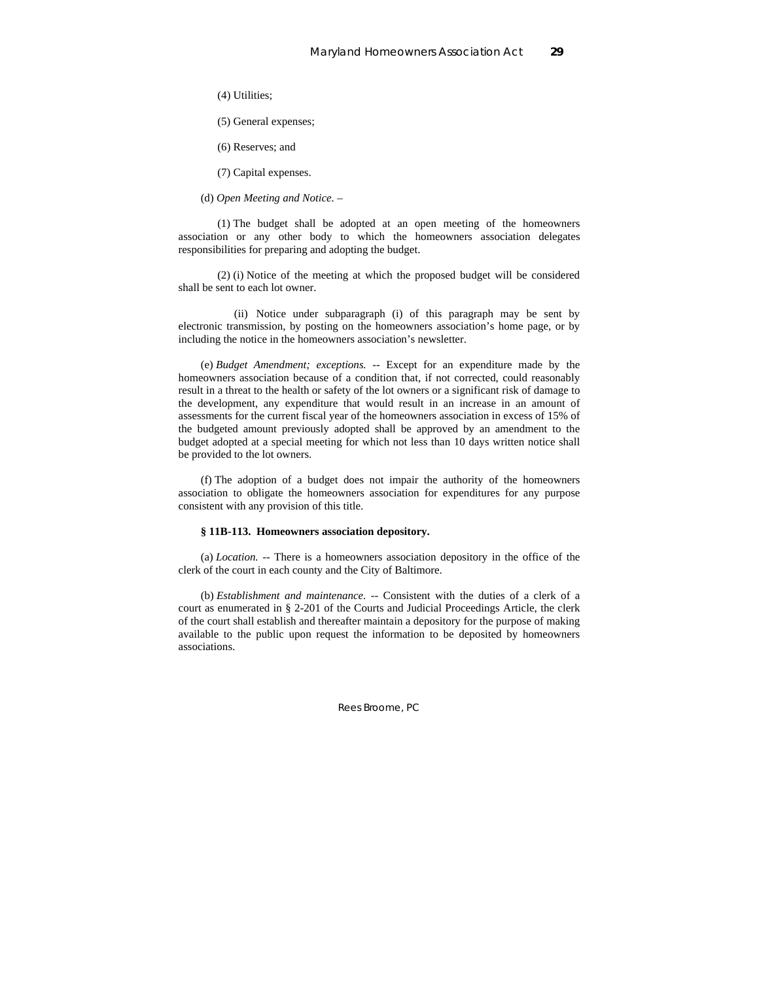(4) Utilities;

(5) General expenses;

(6) Reserves; and

(7) Capital expenses.

(d) *Open Meeting and Notice. –* 

 (1) The budget shall be adopted at an open meeting of the homeowners association or any other body to which the homeowners association delegates responsibilities for preparing and adopting the budget.

 (2) (i) Notice of the meeting at which the proposed budget will be considered shall be sent to each lot owner.

 (ii) Notice under subparagraph (i) of this paragraph may be sent by electronic transmission, by posting on the homeowners association's home page, or by including the notice in the homeowners association's newsletter.

(e) *Budget Amendment; exceptions. --* Except for an expenditure made by the homeowners association because of a condition that, if not corrected, could reasonably result in a threat to the health or safety of the lot owners or a significant risk of damage to the development, any expenditure that would result in an increase in an amount of assessments for the current fiscal year of the homeowners association in excess of 15% of the budgeted amount previously adopted shall be approved by an amendment to the budget adopted at a special meeting for which not less than 10 days written notice shall be provided to the lot owners.

(f) The adoption of a budget does not impair the authority of the homeowners association to obligate the homeowners association for expenditures for any purpose consistent with any provision of this title.

#### **§ 11B-113. Homeowners association depository.**

(a) *Location.* -- There is a homeowners association depository in the office of the clerk of the court in each county and the City of Baltimore.

(b) *Establishment and maintenance.* -- Consistent with the duties of a clerk of a court as enumerated in § 2-201 of the Courts and Judicial Proceedings Article, the clerk of the court shall establish and thereafter maintain a depository for the purpose of making available to the public upon request the information to be deposited by homeowners associations.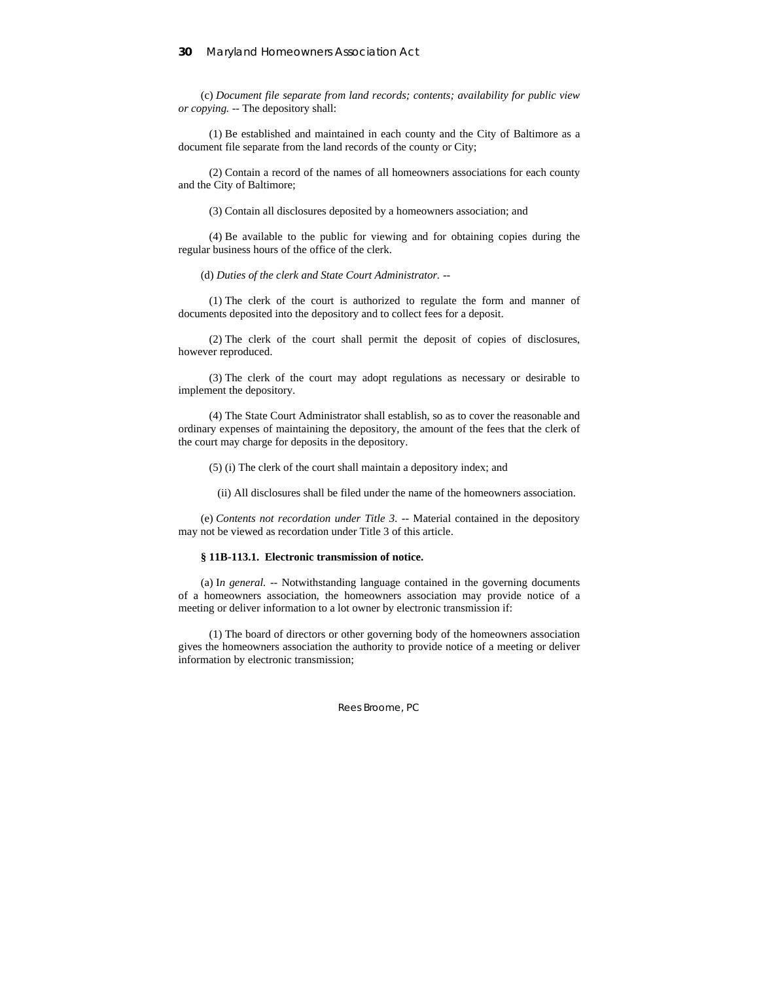(c) *Document file separate from land records; contents; availability for public view or copying.* -- The depository shall:

 (1) Be established and maintained in each county and the City of Baltimore as a document file separate from the land records of the county or City;

 (2) Contain a record of the names of all homeowners associations for each county and the City of Baltimore;

(3) Contain all disclosures deposited by a homeowners association; and

 (4) Be available to the public for viewing and for obtaining copies during the regular business hours of the office of the clerk.

(d) *Duties of the clerk and State Court Administrator.* --

 (1) The clerk of the court is authorized to regulate the form and manner of documents deposited into the depository and to collect fees for a deposit.

 (2) The clerk of the court shall permit the deposit of copies of disclosures, however reproduced.

 (3) The clerk of the court may adopt regulations as necessary or desirable to implement the depository.

 (4) The State Court Administrator shall establish, so as to cover the reasonable and ordinary expenses of maintaining the depository, the amount of the fees that the clerk of the court may charge for deposits in the depository.

(5) (i) The clerk of the court shall maintain a depository index; and

(ii) All disclosures shall be filed under the name of the homeowners association.

(e) *Contents not recordation under Title 3.* -- Material contained in the depository may not be viewed as recordation under Title 3 of this article.

#### **§ 11B-113.1. Electronic transmission of notice.**

(a) I*n general.* -- Notwithstanding language contained in the governing documents of a homeowners association, the homeowners association may provide notice of a meeting or deliver information to a lot owner by electronic transmission if:

 (1) The board of directors or other governing body of the homeowners association gives the homeowners association the authority to provide notice of a meeting or deliver information by electronic transmission;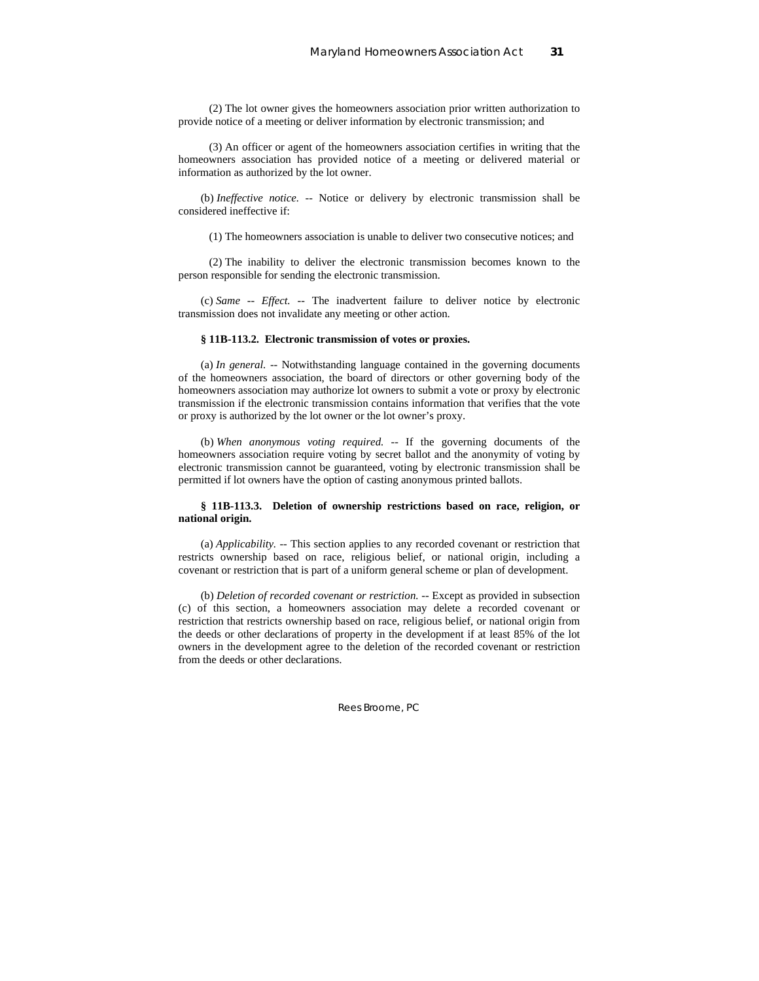(2) The lot owner gives the homeowners association prior written authorization to provide notice of a meeting or deliver information by electronic transmission; and

 (3) An officer or agent of the homeowners association certifies in writing that the homeowners association has provided notice of a meeting or delivered material or information as authorized by the lot owner.

(b) *Ineffective notice.* -- Notice or delivery by electronic transmission shall be considered ineffective if:

(1) The homeowners association is unable to deliver two consecutive notices; and

 (2) The inability to deliver the electronic transmission becomes known to the person responsible for sending the electronic transmission.

(c) *Same -- Effect.* -- The inadvertent failure to deliver notice by electronic transmission does not invalidate any meeting or other action.

#### **§ 11B-113.2. Electronic transmission of votes or proxies.**

(a) *In general.* -- Notwithstanding language contained in the governing documents of the homeowners association, the board of directors or other governing body of the homeowners association may authorize lot owners to submit a vote or proxy by electronic transmission if the electronic transmission contains information that verifies that the vote or proxy is authorized by the lot owner or the lot owner's proxy.

(b) *When anonymous voting required.* -- If the governing documents of the homeowners association require voting by secret ballot and the anonymity of voting by electronic transmission cannot be guaranteed, voting by electronic transmission shall be permitted if lot owners have the option of casting anonymous printed ballots.

### **§ 11B-113.3. Deletion of ownership restrictions based on race, religion, or national origin.**

(a) *Applicability.* -- This section applies to any recorded covenant or restriction that restricts ownership based on race, religious belief, or national origin, including a covenant or restriction that is part of a uniform general scheme or plan of development.

(b) *Deletion of recorded covenant or restriction.* -- Except as provided in subsection (c) of this section, a homeowners association may delete a recorded covenant or restriction that restricts ownership based on race, religious belief, or national origin from the deeds or other declarations of property in the development if at least 85% of the lot owners in the development agree to the deletion of the recorded covenant or restriction from the deeds or other declarations.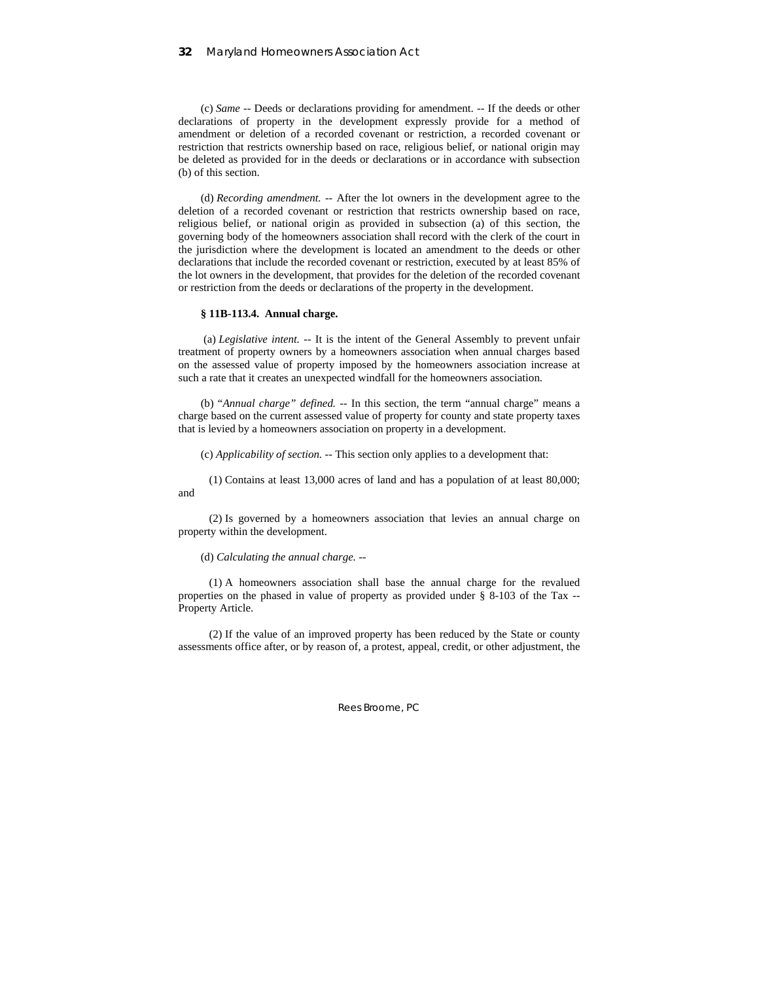(c) *Same* -- Deeds or declarations providing for amendment. -- If the deeds or other declarations of property in the development expressly provide for a method of amendment or deletion of a recorded covenant or restriction, a recorded covenant or restriction that restricts ownership based on race, religious belief, or national origin may be deleted as provided for in the deeds or declarations or in accordance with subsection (b) of this section.

(d) *Recording amendment.* -- After the lot owners in the development agree to the deletion of a recorded covenant or restriction that restricts ownership based on race, religious belief, or national origin as provided in subsection (a) of this section, the governing body of the homeowners association shall record with the clerk of the court in the jurisdiction where the development is located an amendment to the deeds or other declarations that include the recorded covenant or restriction, executed by at least 85% of the lot owners in the development, that provides for the deletion of the recorded covenant or restriction from the deeds or declarations of the property in the development.

### **§ 11B-113.4. Annual charge.**

 (a) *Legislative intent.* -- It is the intent of the General Assembly to prevent unfair treatment of property owners by a homeowners association when annual charges based on the assessed value of property imposed by the homeowners association increase at such a rate that it creates an unexpected windfall for the homeowners association.

(b) *"Annual charge" defined.* -- In this section, the term "annual charge" means a charge based on the current assessed value of property for county and state property taxes that is levied by a homeowners association on property in a development.

(c) *Applicability of section.* -- This section only applies to a development that:

 (1) Contains at least 13,000 acres of land and has a population of at least 80,000; and

 (2) Is governed by a homeowners association that levies an annual charge on property within the development.

#### (d) *Calculating the annual charge.* --

 (1) A homeowners association shall base the annual charge for the revalued properties on the phased in value of property as provided under § 8-103 of the Tax -- Property Article.

 (2) If the value of an improved property has been reduced by the State or county assessments office after, or by reason of, a protest, appeal, credit, or other adjustment, the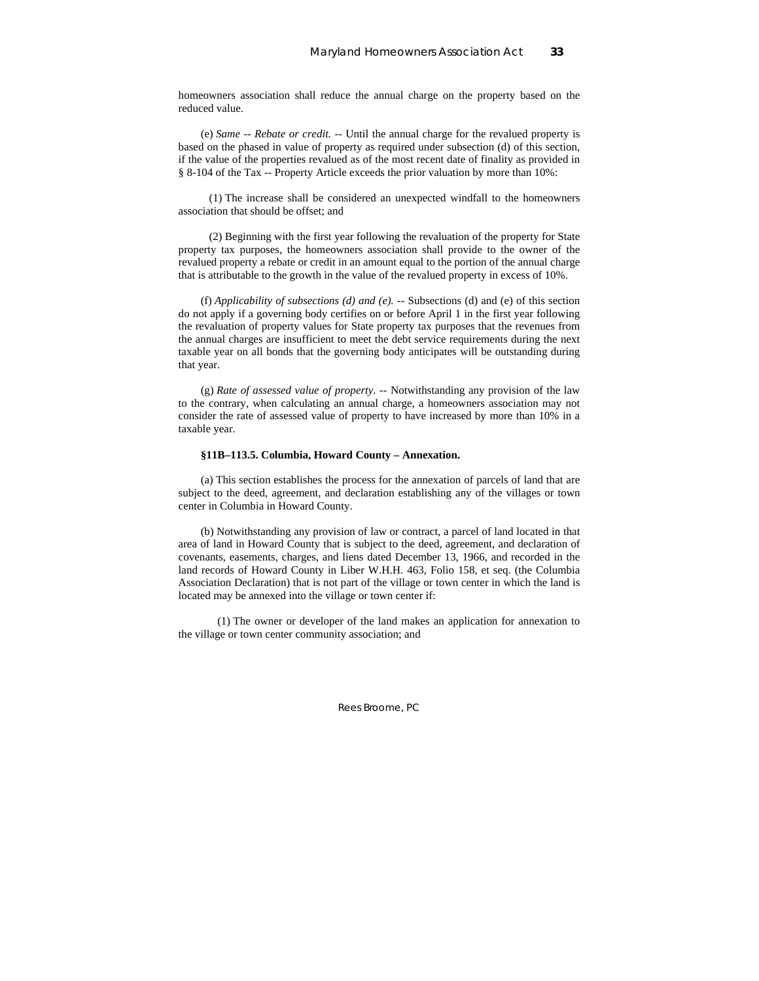homeowners association shall reduce the annual charge on the property based on the reduced value.

(e) *Same -- Rebate or credit.* -- Until the annual charge for the revalued property is based on the phased in value of property as required under subsection (d) of this section, if the value of the properties revalued as of the most recent date of finality as provided in § 8-104 of the Tax -- Property Article exceeds the prior valuation by more than 10%:

 (1) The increase shall be considered an unexpected windfall to the homeowners association that should be offset; and

 (2) Beginning with the first year following the revaluation of the property for State property tax purposes, the homeowners association shall provide to the owner of the revalued property a rebate or credit in an amount equal to the portion of the annual charge that is attributable to the growth in the value of the revalued property in excess of 10%.

(f) *Applicability of subsections (d) and (e).* -- Subsections (d) and (e) of this section do not apply if a governing body certifies on or before April 1 in the first year following the revaluation of property values for State property tax purposes that the revenues from the annual charges are insufficient to meet the debt service requirements during the next taxable year on all bonds that the governing body anticipates will be outstanding during that year.

(g) *Rate of assessed value of property.* -- Notwithstanding any provision of the law to the contrary, when calculating an annual charge, a homeowners association may not consider the rate of assessed value of property to have increased by more than 10% in a taxable year.

### **§11B–113.5. Columbia, Howard County – Annexation.**

(a) This section establishes the process for the annexation of parcels of land that are subject to the deed, agreement, and declaration establishing any of the villages or town center in Columbia in Howard County.

(b) Notwithstanding any provision of law or contract, a parcel of land located in that area of land in Howard County that is subject to the deed, agreement, and declaration of covenants, easements, charges, and liens dated December 13, 1966, and recorded in the land records of Howard County in Liber W.H.H. 463, Folio 158, et seq. (the Columbia Association Declaration) that is not part of the village or town center in which the land is located may be annexed into the village or town center if:

 (1) The owner or developer of the land makes an application for annexation to the village or town center community association; and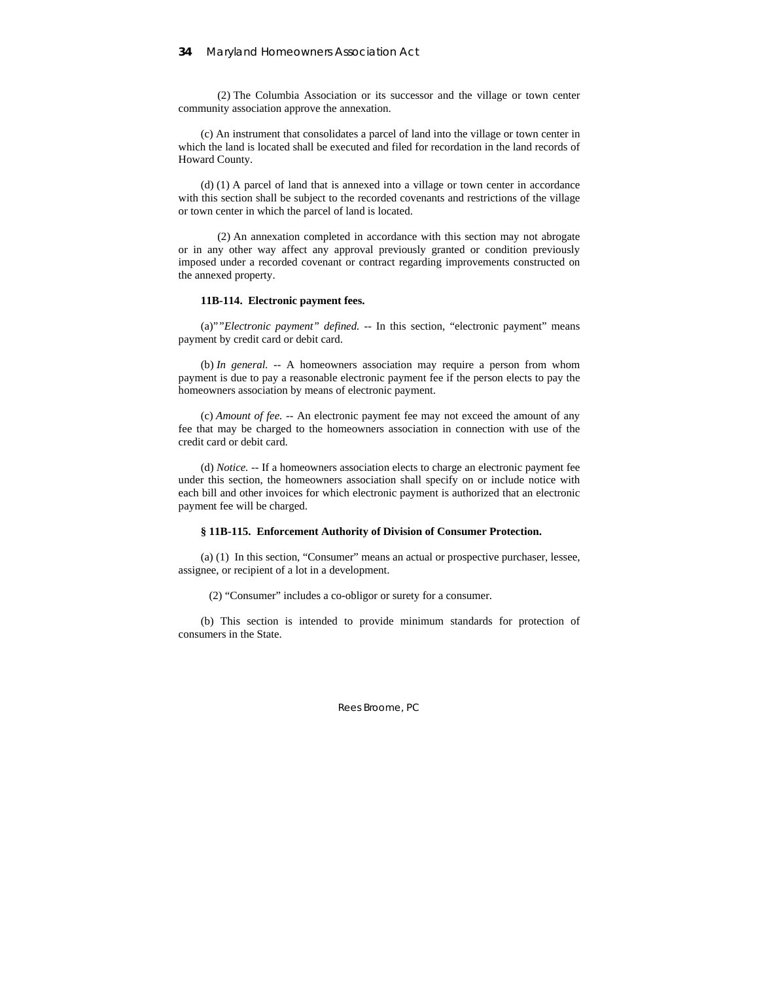(2) The Columbia Association or its successor and the village or town center community association approve the annexation.

(c) An instrument that consolidates a parcel of land into the village or town center in which the land is located shall be executed and filed for recordation in the land records of Howard County.

(d) (1) A parcel of land that is annexed into a village or town center in accordance with this section shall be subject to the recorded covenants and restrictions of the village or town center in which the parcel of land is located.

 (2) An annexation completed in accordance with this section may not abrogate or in any other way affect any approval previously granted or condition previously imposed under a recorded covenant or contract regarding improvements constructed on the annexed property.

### **11B-114. Electronic payment fees.**

(a)"*"Electronic payment" defined.* -- In this section, "electronic payment" means payment by credit card or debit card.

(b) *In general.* -- A homeowners association may require a person from whom payment is due to pay a reasonable electronic payment fee if the person elects to pay the homeowners association by means of electronic payment.

(c) *Amount of fee.* -- An electronic payment fee may not exceed the amount of any fee that may be charged to the homeowners association in connection with use of the credit card or debit card.

(d) *Notice.* -- If a homeowners association elects to charge an electronic payment fee under this section, the homeowners association shall specify on or include notice with each bill and other invoices for which electronic payment is authorized that an electronic payment fee will be charged.

#### **§ 11B-115. Enforcement Authority of Division of Consumer Protection.**

(a) (1) In this section, "Consumer" means an actual or prospective purchaser, lessee, assignee, or recipient of a lot in a development.

(2) "Consumer" includes a co-obligor or surety for a consumer.

(b) This section is intended to provide minimum standards for protection of consumers in the State.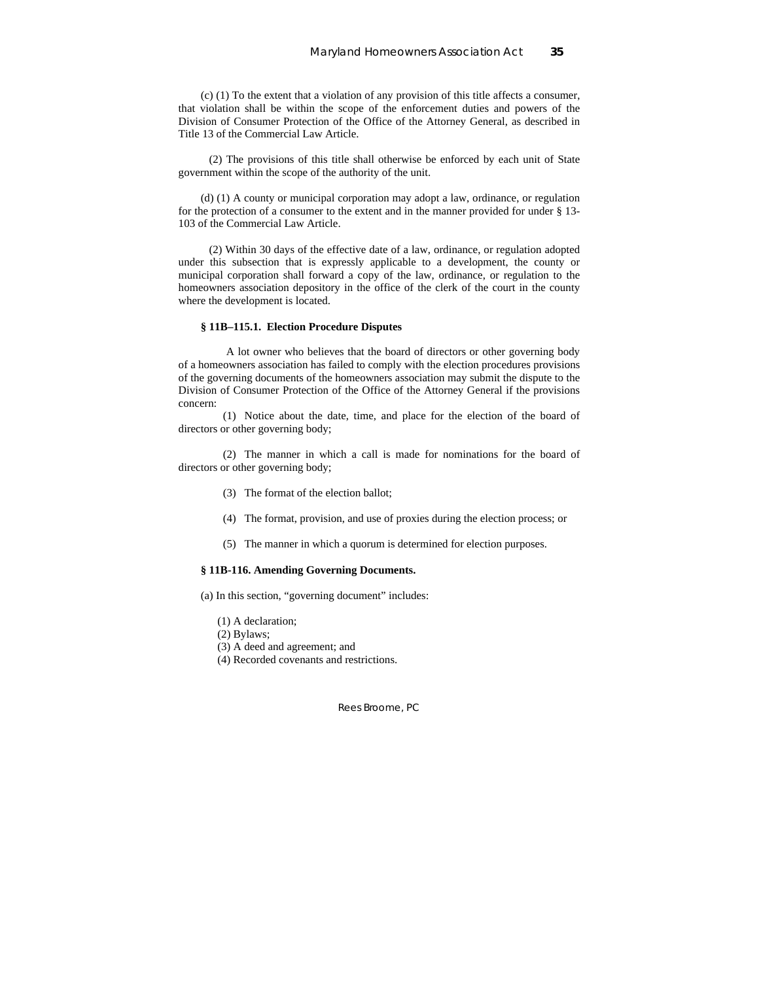(c) (1) To the extent that a violation of any provision of this title affects a consumer, that violation shall be within the scope of the enforcement duties and powers of the Division of Consumer Protection of the Office of the Attorney General, as described in Title 13 of the Commercial Law Article.

 (2) The provisions of this title shall otherwise be enforced by each unit of State government within the scope of the authority of the unit.

(d) (1) A county or municipal corporation may adopt a law, ordinance, or regulation for the protection of a consumer to the extent and in the manner provided for under § 13- 103 of the Commercial Law Article.

 (2) Within 30 days of the effective date of a law, ordinance, or regulation adopted under this subsection that is expressly applicable to a development, the county or municipal corporation shall forward a copy of the law, ordinance, or regulation to the homeowners association depository in the office of the clerk of the court in the county where the development is located.

### **§ 11B–115.1. Election Procedure Disputes**

A lot owner who believes that the board of directors or other governing body of a homeowners association has failed to comply with the election procedures provisions of the governing documents of the homeowners association may submit the dispute to the Division of Consumer Protection of the Office of the Attorney General if the provisions concern:

(1) Notice about the date, time, and place for the election of the board of directors or other governing body;

(2) The manner in which a call is made for nominations for the board of directors or other governing body;

- (3) The format of the election ballot;
- (4) The format, provision, and use of proxies during the election process; or
- (5) The manner in which a quorum is determined for election purposes.

### **§ 11B-116. Amending Governing Documents.**

(a) In this section, "governing document" includes:

- (1) A declaration;
- (2) Bylaws;
- (3) A deed and agreement; and
- (4) Recorded covenants and restrictions.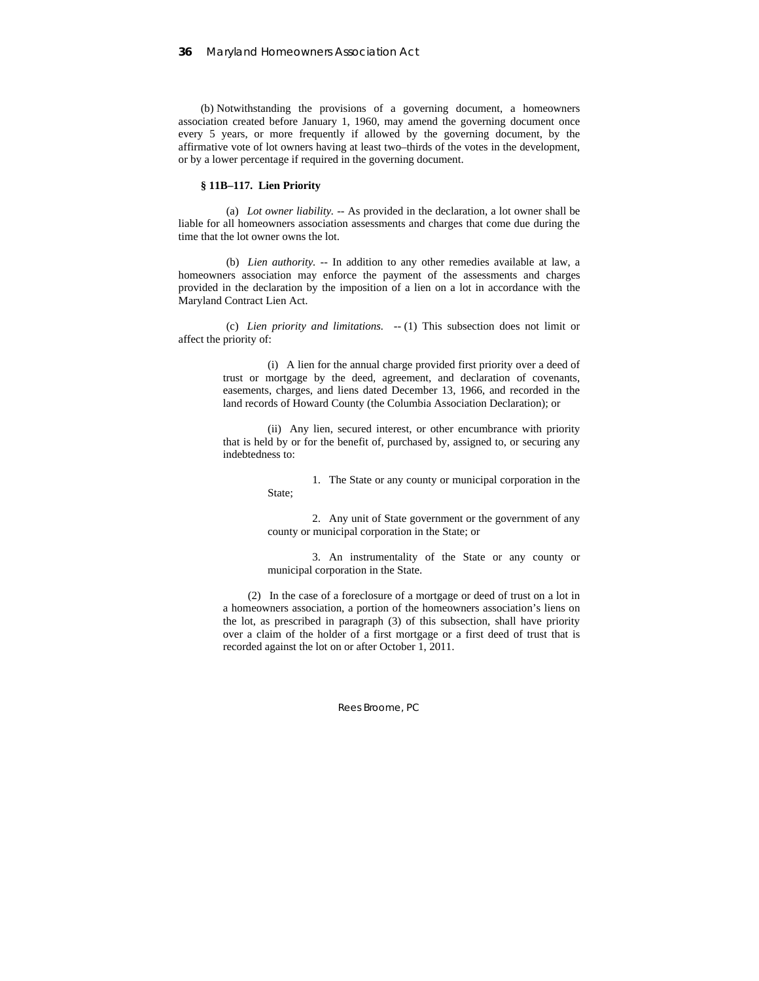(b) Notwithstanding the provisions of a governing document, a homeowners association created before January 1, 1960, may amend the governing document once every 5 years, or more frequently if allowed by the governing document, by the affirmative vote of lot owners having at least two–thirds of the votes in the development, or by a lower percentage if required in the governing document.

### **§ 11B–117. Lien Priority**

(a) *Lot owner liability. --* As provided in the declaration, a lot owner shall be liable for all homeowners association assessments and charges that come due during the time that the lot owner owns the lot.

(b) *Lien authority. --* In addition to any other remedies available at law, a homeowners association may enforce the payment of the assessments and charges provided in the declaration by the imposition of a lien on a lot in accordance with the Maryland Contract Lien Act.

(c) *Lien priority and limitations. --* (1) This subsection does not limit or affect the priority of:

> (i) A lien for the annual charge provided first priority over a deed of trust or mortgage by the deed, agreement, and declaration of covenants, easements, charges, and liens dated December 13, 1966, and recorded in the land records of Howard County (the Columbia Association Declaration); or

> (ii) Any lien, secured interest, or other encumbrance with priority that is held by or for the benefit of, purchased by, assigned to, or securing any indebtedness to:

> > 1. The State or any county or municipal corporation in the State;

> > 2. Any unit of State government or the government of any county or municipal corporation in the State; or

> > 3. An instrumentality of the State or any county or municipal corporation in the State.

(2) In the case of a foreclosure of a mortgage or deed of trust on a lot in a homeowners association, a portion of the homeowners association's liens on the lot, as prescribed in paragraph (3) of this subsection, shall have priority over a claim of the holder of a first mortgage or a first deed of trust that is recorded against the lot on or after October 1, 2011.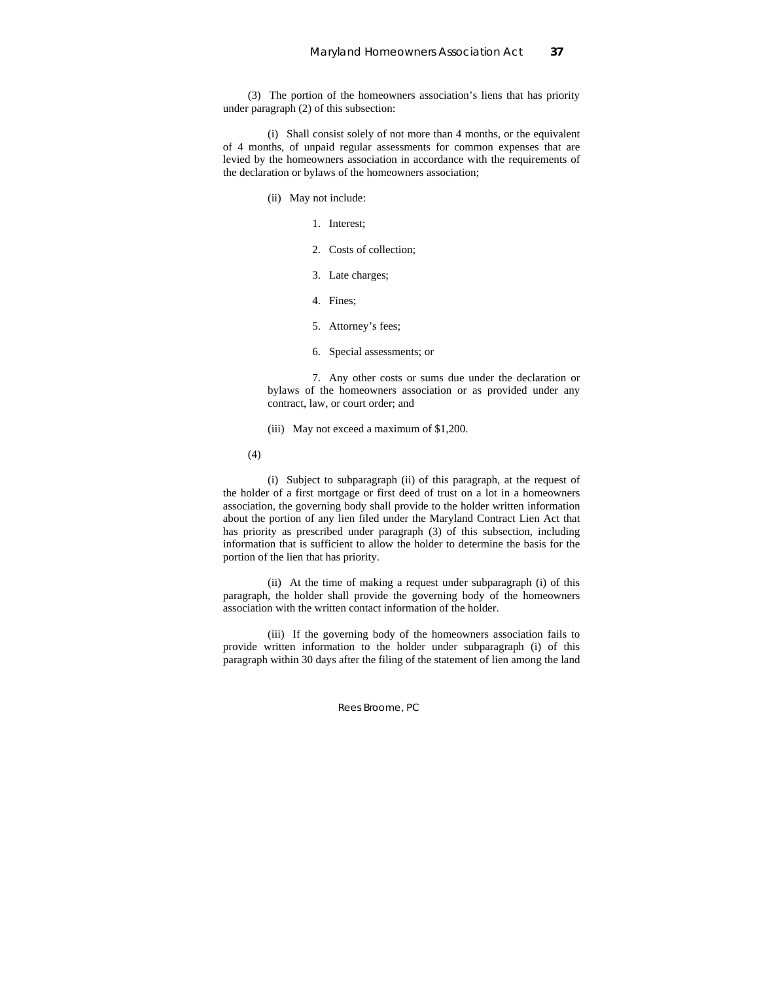(3) The portion of the homeowners association's liens that has priority under paragraph (2) of this subsection:

(i) Shall consist solely of not more than 4 months, or the equivalent of 4 months, of unpaid regular assessments for common expenses that are levied by the homeowners association in accordance with the requirements of the declaration or bylaws of the homeowners association;

- (ii) May not include:
	- 1. Interest;
	- 2. Costs of collection;
	- 3. Late charges;
	- 4. Fines;
	- 5. Attorney's fees;
	- 6. Special assessments; or

7. Any other costs or sums due under the declaration or bylaws of the homeowners association or as provided under any contract, law, or court order; and

- (iii) May not exceed a maximum of \$1,200.
- (4)

(i) Subject to subparagraph (ii) of this paragraph, at the request of the holder of a first mortgage or first deed of trust on a lot in a homeowners association, the governing body shall provide to the holder written information about the portion of any lien filed under the Maryland Contract Lien Act that has priority as prescribed under paragraph (3) of this subsection, including information that is sufficient to allow the holder to determine the basis for the portion of the lien that has priority.

(ii) At the time of making a request under subparagraph (i) of this paragraph, the holder shall provide the governing body of the homeowners association with the written contact information of the holder.

(iii) If the governing body of the homeowners association fails to provide written information to the holder under subparagraph (i) of this paragraph within 30 days after the filing of the statement of lien among the land